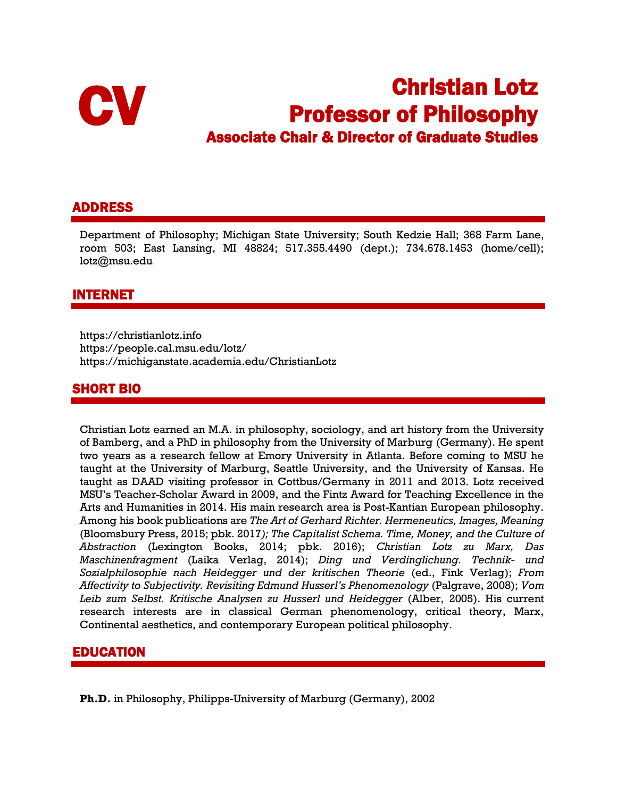

# **CV Christian Lotz<br>
Professor of Philosophy<br>
Associate Chair & Director of Graduate Studies Professor of Philosophy<br>Associate Chair & Director of Graduate Studies**

# ADDRESS

Department of Philosophy; Michigan State University; South Kedzie Hall; 368 Farm Lane, room 503; East Lansing, MI 48824; 517.355.4490 (dept.); 734.678.1453 (home/cell); lotz@msu.edu

# INTERNET

https://christianlotz.info https://people.cal.msu.edu/lotz/ https://michiganstate.academia.edu/ChristianLotz

# SHORT BIO

Christian Lotz earned an M.A. in philosophy, sociology, and art history from the University of Bamberg, and a PhD in philosophy from the University of Marburg (Germany). He spent two years as a research fellow at Emory University in Atlanta. Before coming to MSU he taught at the University of Marburg, Seattle University, and the University of Kansas. He taught as DAAD visiting professor in Cottbus/Germany in 2011 and 2013. Lotz received MSU's Teacher-Scholar Award in 2009, and the Fintz Award for Teaching Excellence in the Arts and Humanities in 2014. His main research area is Post-Kantian European philosophy. Among his book publications are *The Art of Gerhard Richter. Hermeneutics, Images, Meaning* (Bloomsbury Press, 2015; pbk. 2017*); The Capitalist Schema. Time, Money, and the Culture of Abstraction* (Lexington Books, 2014; pbk. 2016); *Christian Lotz zu Marx, Das Maschinenfragment* (Laika Verlag, 2014); *Ding und Verdinglichung. Technik- und Sozialphilosophie nach Heidegger und der kritischen Theorie* (ed., Fink Verlag); *From Affectivity to Subjectivity. Revisiting Edmund Husserl's Phenomenology* (Palgrave, 2008); *Vom Leib zum Selbst. Kritische Analysen zu Husserl und Heidegger* (Alber, 2005). His current research interests are in classical German phenomenology, critical theory, Marx, Continental aesthetics, and contemporary European political philosophy.

# EDUCATION

**Ph.D.** in Philosophy, Philipps-University of Marburg (Germany), 2002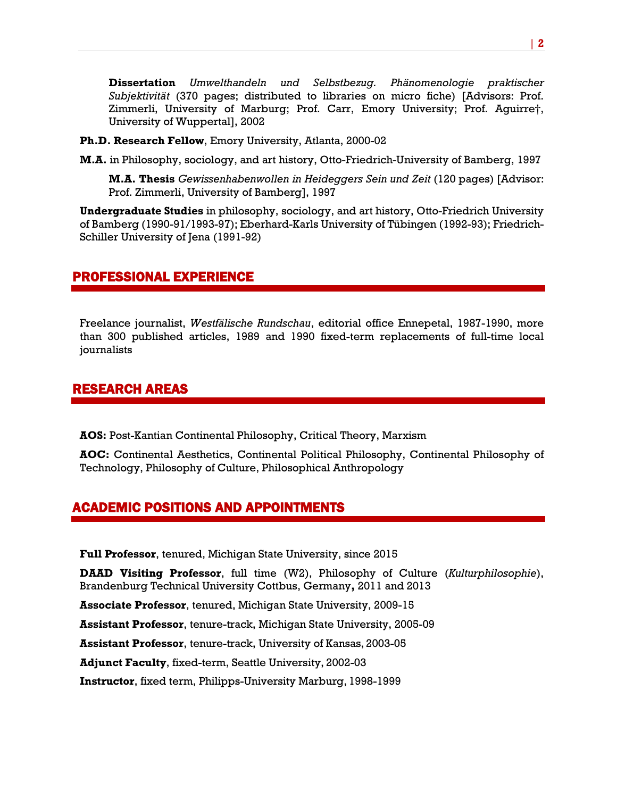**Dissertation** *Umwelthandeln und Selbstbezug. Phänomenologie praktischer Subjektivität* (370 pages; distributed to libraries on micro fiche) [Advisors: Prof. Zimmerli, University of Marburg; Prof. Carr, Emory University; Prof. Aguirre†, University of Wuppertal], 2002

**Ph.D. Research Fellow**, Emory University, Atlanta, 2000-02

**M.A.** in Philosophy, sociology, and art history, Otto-Friedrich-University of Bamberg, 1997

**M.A. Thesis** *Gewissenhabenwollen in Heideggers Sein und Zeit* (120 pages) [Advisor: Prof. Zimmerli, University of Bamberg], 1997

**Undergraduate Studies** in philosophy, sociology, and art history, Otto-Friedrich University of Bamberg (1990-91/1993-97); Eberhard-Karls University of Tübingen (1992-93); Friedrich-Schiller University of Jena (1991-92)

## PROFESSIONAL EXPERIENCE

Freelance journalist, *Westfälische Rundschau*, editorial office Ennepetal, 1987-1990, more than 300 published articles, 1989 and 1990 fixed-term replacements of full-time local journalists

# RESEARCH AREAS

**AOS:** Post-Kantian Continental Philosophy, Critical Theory, Marxism

**AOC:** Continental Aesthetics, Continental Political Philosophy, Continental Philosophy of Technology, Philosophy of Culture, Philosophical Anthropology

# ACADEMIC POSITIONS AND APPOINTMENTS

**Full Professor**, tenured, Michigan State University, since 2015

**DAAD Visiting Professor**, full time (W2), Philosophy of Culture (*Kulturphilosophie*), Brandenburg Technical University Cottbus, Germany**,** 2011 and 2013

**Associate Professor**, tenured, Michigan State University, 2009-15

**Assistant Professor**, tenure-track, Michigan State University, 2005-09

**Assistant Professor**, tenure-track, University of Kansas, 2003-05

**Adjunct Faculty**, fixed-term, Seattle University, 2002-03

**Instructor**, fixed term, Philipps-University Marburg, 1998-1999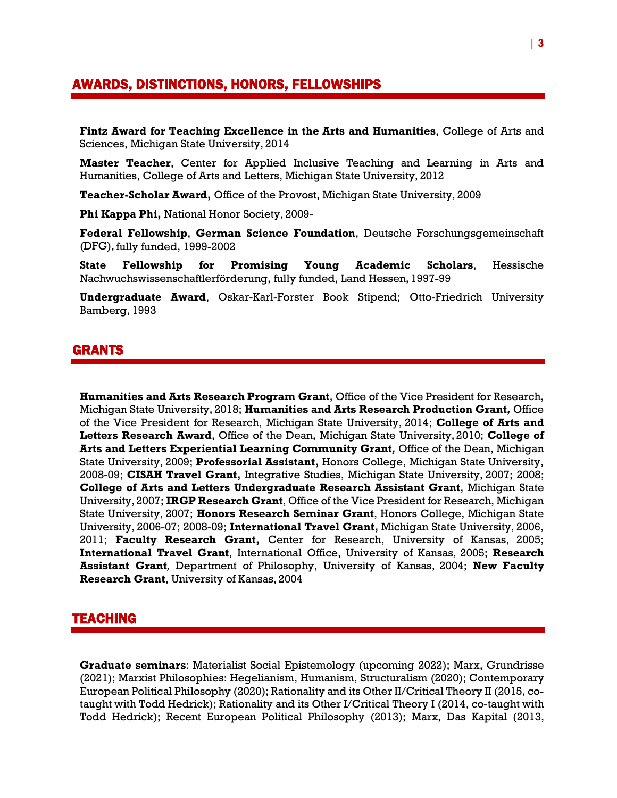# AWARDS, DISTINCTIONS, HONORS, FELLOWSHIPS

**Fintz Award for Teaching Excellence in the Arts and Humanities**, College of Arts and Sciences, Michigan State University, 2014

**Master Teacher**, Center for Applied Inclusive Teaching and Learning in Arts and Humanities, College of Arts and Letters, Michigan State University, 2012

**Teacher-Scholar Award,** Office of the Provost, Michigan State University, 2009

**Phi Kappa Phi,** National Honor Society, 2009-

**Federal Fellowship**, **German Science Foundation**, Deutsche Forschungsgemeinschaft (DFG), fully funded, 1999-2002

**State Fellowship for Promising Young Academic Scholars**, Hessische Nachwuchswissenschaftlerförderung, fully funded, Land Hessen, 1997-99

**Undergraduate Award**, Oskar-Karl-Forster Book Stipend; Otto-Friedrich University Bamberg, 1993

## GRANTS

**Humanities and Arts Research Program Grant**, Office of the Vice President for Research, Michigan State University, 2018; **Humanities and Arts Research Production Grant***,* Office of the Vice President for Research, Michigan State University, 2014; **College of Arts and Letters Research Award**, Office of the Dean, Michigan State University, 2010; **College of Arts and Letters Experiential Learning Community Grant***,* Office of the Dean, Michigan State University, 2009; **Professorial Assistant,** Honors College, Michigan State University, 2008-09; **CISAH Travel Grant,** Integrative Studies, Michigan State University, 2007; 2008; **College of Arts and Letters Undergraduate Research Assistant Grant**, Michigan State University, 2007; **IRGP Research Grant**, Office of the Vice President for Research, Michigan State University, 2007; **Honors Research Seminar Grant**, Honors College, Michigan State University, 2006-07; 2008-09; **International Travel Grant,** Michigan State University, 2006, 2011; **Faculty Research Grant,** Center for Research, University of Kansas, 2005; **International Travel Grant**, International Office, University of Kansas, 2005; **Research Assistant Grant***,* Department of Philosophy, University of Kansas, 2004; **New Faculty Research Grant**, University of Kansas, 2004

## TEACHING

**Graduate seminars**: Materialist Social Epistemology (upcoming 2022); Marx, Grundrisse (2021); Marxist Philosophies: Hegelianism, Humanism, Structuralism (2020); Contemporary European Political Philosophy (2020); Rationality and its Other II/Critical Theory II (2015, cotaught with Todd Hedrick); Rationality and its Other I/Critical Theory I (2014, co-taught with Todd Hedrick); Recent European Political Philosophy (2013); Marx, Das Kapital (2013,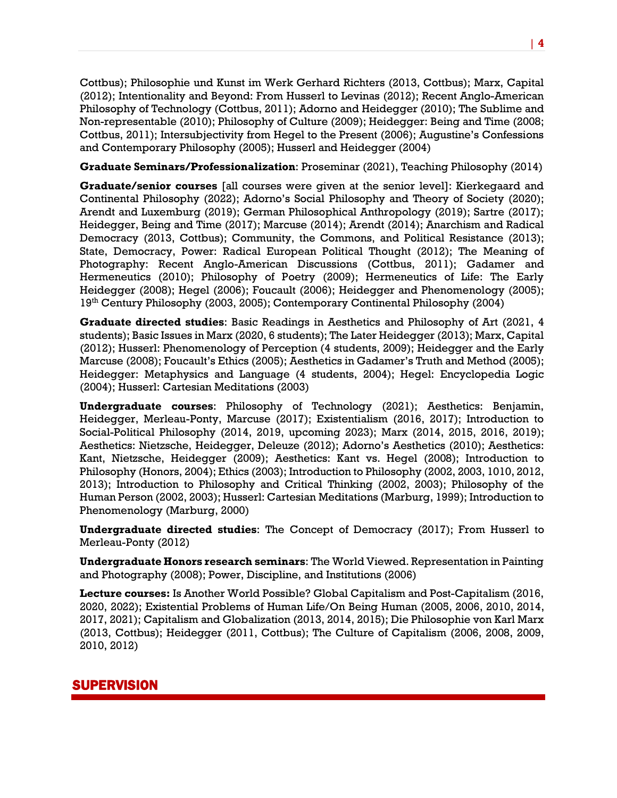Cottbus); Philosophie und Kunst im Werk Gerhard Richters (2013, Cottbus); Marx, Capital (2012); Intentionality and Beyond: From Husserl to Levinas (2012); Recent Anglo-American Philosophy of Technology (Cottbus, 2011); Adorno and Heidegger (2010); The Sublime and Non-representable (2010); Philosophy of Culture (2009); Heidegger: Being and Time (2008; Cottbus, 2011); Intersubjectivity from Hegel to the Present (2006); Augustine's Confessions and Contemporary Philosophy (2005); Husserl and Heidegger (2004)

**Graduate Seminars/Professionalization**: Proseminar (2021), Teaching Philosophy (2014)

**Graduate/senior courses** [all courses were given at the senior level]: Kierkegaard and Continental Philosophy (2022); Adorno's Social Philosophy and Theory of Society (2020); Arendt and Luxemburg (2019); German Philosophical Anthropology (2019); Sartre (2017); Heidegger, Being and Time (2017); Marcuse (2014); Arendt (2014); Anarchism and Radical Democracy (2013, Cottbus); Community, the Commons, and Political Resistance (2013); State, Democracy, Power: Radical European Political Thought (2012); The Meaning of Photography: Recent Anglo-American Discussions (Cottbus, 2011); Gadamer and Hermeneutics (2010); Philosophy of Poetry (2009); Hermeneutics of Life: The Early Heidegger (2008); Hegel (2006); Foucault (2006); Heidegger and Phenomenology (2005); 19th Century Philosophy (2003, 2005); Contemporary Continental Philosophy (2004)

**Graduate directed studies**: Basic Readings in Aesthetics and Philosophy of Art (2021, 4 students); Basic Issues in Marx (2020, 6 students); The Later Heidegger (2013); Marx, Capital (2012); Husserl: Phenomenology of Perception (4 students, 2009); Heidegger and the Early Marcuse (2008); Foucault's Ethics (2005); Aesthetics in Gadamer's Truth and Method (2005); Heidegger: Metaphysics and Language (4 students, 2004); Hegel: Encyclopedia Logic (2004); Husserl: Cartesian Meditations (2003)

**Undergraduate courses**: Philosophy of Technology (2021); Aesthetics: Benjamin, Heidegger, Merleau-Ponty, Marcuse (2017); Existentialism (2016, 2017); Introduction to Social-Political Philosophy (2014, 2019, upcoming 2023); Marx (2014, 2015, 2016, 2019); Aesthetics: Nietzsche, Heidegger, Deleuze (2012); Adorno's Aesthetics (2010); Aesthetics: Kant, Nietzsche, Heidegger (2009); Aesthetics: Kant vs. Hegel (2008); Introduction to Philosophy (Honors, 2004); Ethics (2003); Introduction to Philosophy (2002, 2003, 1010, 2012, 2013); Introduction to Philosophy and Critical Thinking (2002, 2003); Philosophy of the Human Person (2002, 2003); Husserl: Cartesian Meditations (Marburg, 1999); Introduction to Phenomenology (Marburg, 2000)

**Undergraduate directed studies**: The Concept of Democracy (2017); From Husserl to Merleau-Ponty (2012)

**Undergraduate Honors research seminars**: The World Viewed. Representation in Painting and Photography (2008); Power, Discipline, and Institutions (2006)

**Lecture courses:** Is Another World Possible? Global Capitalism and Post-Capitalism (2016, 2020, 2022); Existential Problems of Human Life/On Being Human (2005, 2006, 2010, 2014, 2017, 2021); Capitalism and Globalization (2013, 2014, 2015); Die Philosophie von Karl Marx (2013, Cottbus); Heidegger (2011, Cottbus); The Culture of Capitalism (2006, 2008, 2009, 2010, 2012)

# SUPERVISION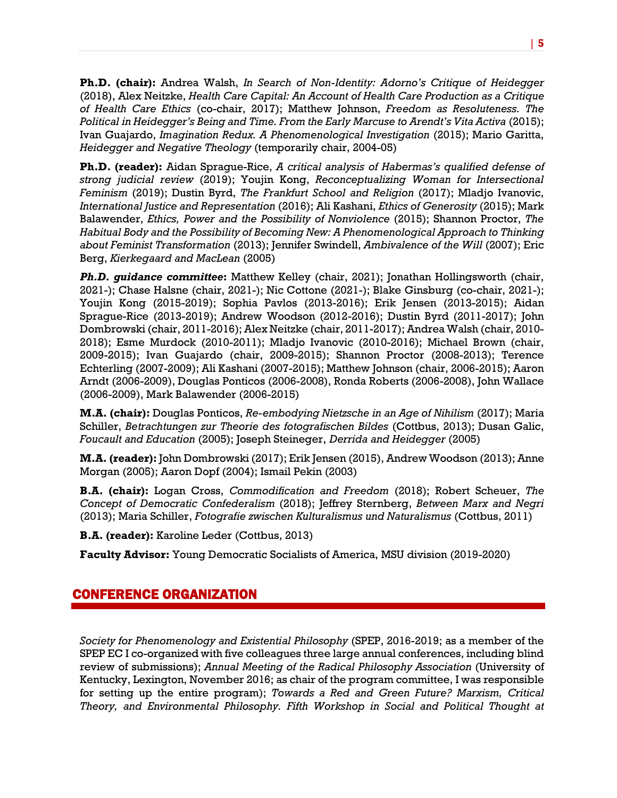**Ph.D. (chair):** Andrea Walsh, *In Search of Non-Identity: Adorno's Critique of Heidegger* (2018), Alex Neitzke, *Health Care Capital: An Account of Health Care Production as a Critique of Health Care Ethics* (co-chair, 2017); Matthew Johnson, *Freedom as Resoluteness. The Political in Heidegger's Being and Time. From the Early Marcuse to Arendt's Vita Activa* (2015); Ivan Guajardo, *Imagination Redux. A Phenomenological Investigation* (2015); Mario Garitta, *Heidegger and Negative Theology* (temporarily chair, 2004-05)

**Ph.D. (reader):** Aidan Sprague-Rice, *A critical analysis of Habermas's qualified defense of strong judicial review* (2019); Youjin Kong, *Reconceptualizing Woman for Intersectional Feminism* (2019); Dustin Byrd, *The Frankfurt School and Religion* (2017); Mladjo Ivanovic, *International Justice and Representation* (2016); Ali Kashani, *Ethics of Generosity* (2015); Mark Balawender, *Ethics, Power and the Possibility of Nonviolence* (2015); Shannon Proctor, *The Habitual Body and the Possibility of Becoming New: A Phenomenological Approach to Thinking about Feminist Transformation* (2013); Jennifer Swindell, *Ambivalence of the Will* (2007); Eric Berg, *Kierkegaard and MacLean* (2005)

*Ph.D. guidance committee***:** Matthew Kelley (chair, 2021); Jonathan Hollingsworth (chair, 2021-); Chase Halsne (chair, 2021-); Nic Cottone (2021-); Blake Ginsburg (co-chair, 2021-); Youjin Kong (2015-2019); Sophia Pavlos (2013-2016); Erik Jensen (2013-2015); Aidan Sprague-Rice (2013-2019); Andrew Woodson (2012-2016); Dustin Byrd (2011-2017); John Dombrowski(chair, 2011-2016); Alex Neitzke (chair, 2011-2017); Andrea Walsh (chair, 2010- 2018); Esme Murdock (2010-2011); Mladjo Ivanovic (2010-2016); Michael Brown (chair, 2009-2015); Ivan Guajardo (chair, 2009-2015); Shannon Proctor (2008-2013); Terence Echterling (2007-2009); Ali Kashani (2007-2015); Matthew Johnson (chair, 2006-2015); Aaron Arndt (2006-2009), Douglas Ponticos (2006-2008), Ronda Roberts (2006-2008), John Wallace (2006-2009), Mark Balawender (2006-2015)

**M.A. (chair):** Douglas Ponticos, *Re-embodying Nietzsche in an Age of Nihilism* (2017); Maria Schiller, *Betrachtungen zur Theorie des fotografischen Bildes* (Cottbus, 2013); Dusan Galic, *Foucault and Education* (2005); Joseph Steineger, *Derrida and Heidegger* (2005)

**M.A. (reader):** John Dombrowski (2017); Erik Jensen (2015), Andrew Woodson (2013); Anne Morgan (2005); Aaron Dopf (2004); Ismail Pekin (2003)

**B.A. (chair):** Logan Cross, *Commodification and Freedom* (2018); Robert Scheuer, *The Concept of Democratic Confederalism* (2018); Jeffrey Sternberg, *Between Marx and Negri* (2013); Maria Schiller, *Fotografie zwischen Kulturalismus und Naturalismus* (Cottbus, 2011)

**B.A. (reader):** Karoline Leder (Cottbus, 2013)

**Faculty Advisor:** Young Democratic Socialists of America, MSU division (2019-2020)

## CONFERENCE ORGANIZATION

*Society for Phenomenology and Existential Philosophy* (SPEP, 2016-2019; as a member of the SPEP EC I co-organized with five colleagues three large annual conferences, including blind review of submissions); *Annual Meeting of the Radical Philosophy Association* (University of Kentucky, Lexington, November 2016; as chair of the program committee, I was responsible for setting up the entire program); *Towards a Red and Green Future? Marxism, Critical Theory, and Environmental Philosophy. Fifth Workshop in Social and Political Thought at*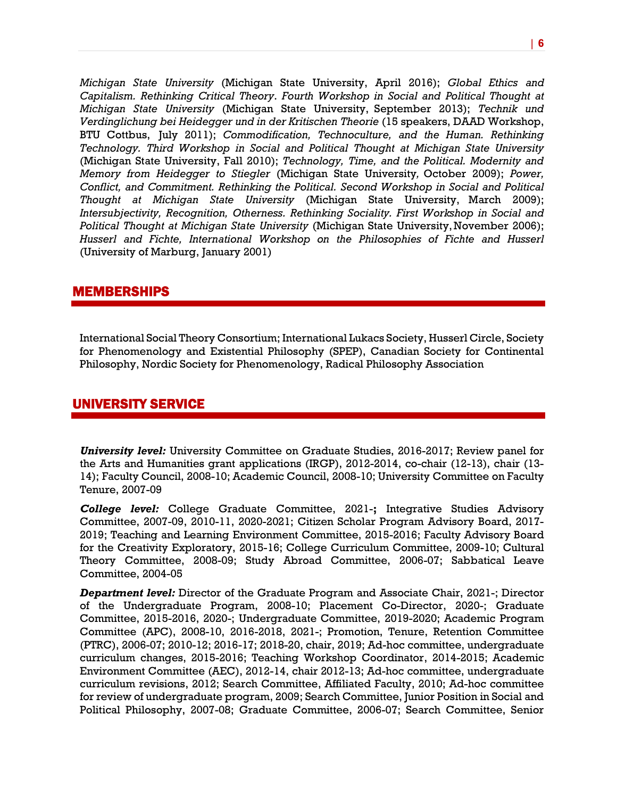*Michigan State University* (Michigan State University, April 2016); *Global Ethics and Capitalism. Rethinking Critical Theory*. *Fourth Workshop in Social and Political Thought at Michigan State University* (Michigan State University, September 2013); *Technik und Verdinglichung bei Heidegger und in der Kritischen Theorie* (15 speakers, DAAD Workshop, BTU Cottbus, July 2011); *Commodification, Technoculture, and the Human. Rethinking Technology. Third Workshop in Social and Political Thought at Michigan State University* (Michigan State University, Fall 2010); *Technology, Time, and the Political. Modernity and Memory from Heidegger to Stiegler* (Michigan State University*,* October 2009); *Power, Conflict, and Commitment. Rethinking the Political. Second Workshop in Social and Political Thought at Michigan State University* (Michigan State University, March 2009); *Intersubjectivity, Recognition, Otherness. Rethinking Sociality. First Workshop in Social and Political Thought at Michigan State University* (Michigan State University,November 2006); *Husserl and Fichte, International Workshop on the Philosophies of Fichte and Husserl* (University of Marburg, January 2001)

#### MEMBERSHIPS

International Social Theory Consortium; International Lukacs Society, Husserl Circle, Society for Phenomenology and Existential Philosophy (SPEP), Canadian Society for Continental Philosophy, Nordic Society for Phenomenology, Radical Philosophy Association

# UNIVERSITY SERVICE

*University level:* University Committee on Graduate Studies, 2016-2017; Review panel for the Arts and Humanities grant applications (IRGP), 2012-2014, co-chair (12-13), chair (13- 14); Faculty Council, 2008-10; Academic Council, 2008-10; University Committee on Faculty Tenure, 2007-09

*College level:* College Graduate Committee, 2021-**;** Integrative Studies Advisory Committee, 2007-09, 2010-11, 2020-2021; Citizen Scholar Program Advisory Board, 2017- 2019; Teaching and Learning Environment Committee, 2015-2016; Faculty Advisory Board for the Creativity Exploratory, 2015-16; College Curriculum Committee, 2009-10; Cultural Theory Committee, 2008-09; Study Abroad Committee, 2006-07; Sabbatical Leave Committee, 2004-05

*Department level:* Director of the Graduate Program and Associate Chair, 2021-; Director of the Undergraduate Program, 2008-10; Placement Co-Director, 2020-; Graduate Committee, 2015-2016, 2020-; Undergraduate Committee, 2019-2020; Academic Program Committee (APC), 2008-10, 2016-2018, 2021-; Promotion, Tenure, Retention Committee (PTRC), 2006-07; 2010-12; 2016-17; 2018-20, chair, 2019; Ad-hoc committee, undergraduate curriculum changes, 2015-2016; Teaching Workshop Coordinator, 2014-2015; Academic Environment Committee (AEC), 2012-14, chair 2012-13; Ad-hoc committee, undergraduate curriculum revisions, 2012; Search Committee, Affiliated Faculty, 2010; Ad-hoc committee for review of undergraduate program, 2009; Search Committee, Junior Position in Social and Political Philosophy, 2007-08; Graduate Committee, 2006-07; Search Committee, Senior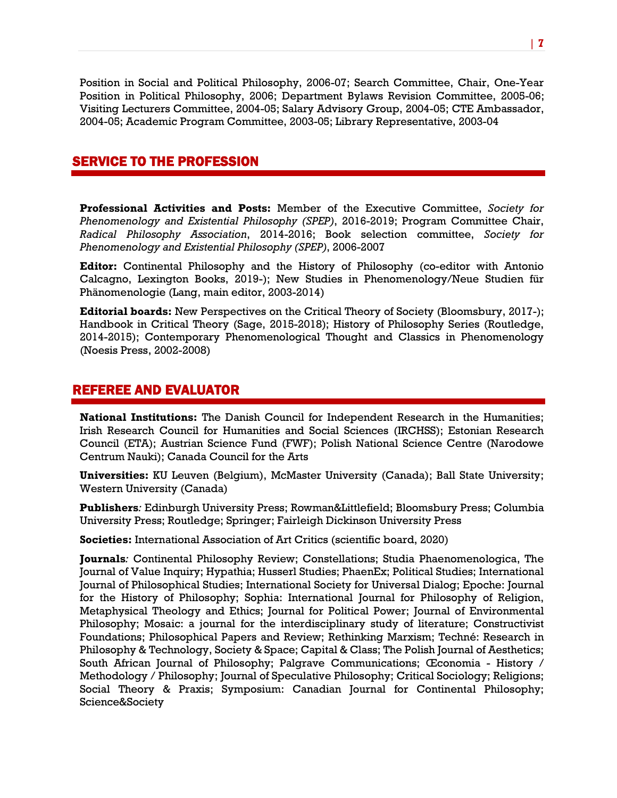Position in Social and Political Philosophy, 2006-07; Search Committee, Chair, One-Year Position in Political Philosophy, 2006; Department Bylaws Revision Committee, 2005-06; Visiting Lecturers Committee, 2004-05; Salary Advisory Group, 2004-05; CTE Ambassador, 2004-05; Academic Program Committee, 2003-05; Library Representative, 2003-04

## SERVICE TO THE PROFESSION

**Professional Activities and Posts:** Member of the Executive Committee, *Society for Phenomenology and Existential Philosophy (SPEP)*, 2016-2019; Program Committee Chair, *Radical Philosophy Association*, 2014-2016; Book selection committee, *Society for Phenomenology and Existential Philosophy (SPEP)*, 2006-2007

**Editor:** Continental Philosophy and the History of Philosophy (co-editor with Antonio Calcagno, Lexington Books, 2019-); New Studies in Phenomenology/Neue Studien für Phänomenologie (Lang, main editor, 2003-2014)

**Editorial boards:** New Perspectives on the Critical Theory of Society (Bloomsbury, 2017-); Handbook in Critical Theory (Sage, 2015-2018); History of Philosophy Series (Routledge, 2014-2015); Contemporary Phenomenological Thought and Classics in Phenomenology (Noesis Press, 2002-2008)

## REFEREE AND EVALUATOR

**National Institutions:** The Danish Council for Independent Research in the Humanities; Irish Research Council for Humanities and Social Sciences (IRCHSS); Estonian Research Council (ETA); Austrian Science Fund (FWF); Polish National Science Centre (Narodowe Centrum Nauki); Canada Council for the Arts

**Universities:** KU Leuven (Belgium), McMaster University (Canada); Ball State University; Western University (Canada)

**Publishers***:* Edinburgh University Press; Rowman&Littlefield; Bloomsbury Press; Columbia University Press; Routledge; Springer; Fairleigh Dickinson University Press

**Societies:** International Association of Art Critics (scientific board, 2020)

**Journals***:* Continental Philosophy Review; Constellations; Studia Phaenomenologica, The Journal of Value Inquiry; Hypathia; Husserl Studies; PhaenEx; Political Studies; International Journal of Philosophical Studies; International Society for Universal Dialog; Epoche: Journal for the History of Philosophy; Sophia: International Journal for Philosophy of Religion, Metaphysical Theology and Ethics; Journal for Political Power; Journal of Environmental Philosophy; Mosaic: a journal for the interdisciplinary study of literature; Constructivist Foundations; Philosophical Papers and Review; Rethinking Marxism; Techné: Research in Philosophy & Technology, Society & Space; Capital & Class; The Polish Journal of Aesthetics; South African Journal of Philosophy; Palgrave Communications; Œconomia - History / Methodology / Philosophy; Journal of Speculative Philosophy; Critical Sociology; Religions; Social Theory & Praxis; Symposium: Canadian Journal for Continental Philosophy; Science&Society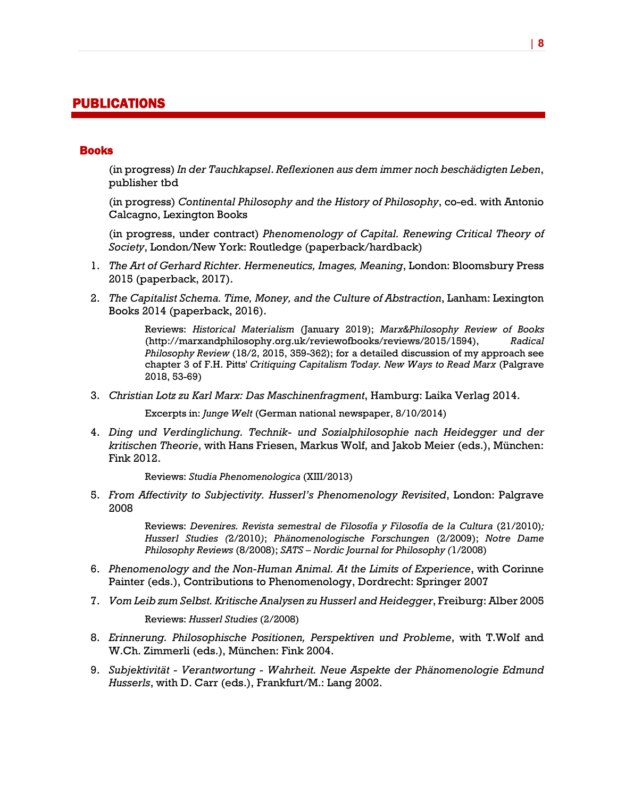# PUBLICATIONS

#### Books

(in progress) *In der Tauchkapsel*. *Reflexionen aus dem immer noch beschädigten Leben*, publisher tbd

(in progress) *Continental Philosophy and the History of Philosophy*, co-ed. with Antonio Calcagno, Lexington Books

(in progress, under contract) *Phenomenology of Capital. Renewing Critical Theory of Society*, London/New York: Routledge (paperback/hardback)

- 1. *The Art of Gerhard Richter. Hermeneutics, Images, Meaning*, London: Bloomsbury Press 2015 (paperback, 2017).
- 2. *The Capitalist Schema. Time, Money, and the Culture of Abstraction*, Lanham: Lexington Books 2014 (paperback, 2016).

Reviews: *Historical Materialism* (January 2019); *Marx&Philosophy Review of Books* (http://marxandphilosophy.org.uk/reviewofbooks/reviews/2015/1594), *Radical Philosophy Review* (18/2, 2015, 359-362); for a detailed discussion of my approach see chapter 3 of F.H. Pitts' *Critiquing Capitalism Today. New Ways to Read Marx* (Palgrave 2018, 53-69)

3. *Christian Lotz zu Karl Marx: Das Maschinenfragment*, Hamburg: Laika Verlag 2014.

Excerpts in: *Junge Welt* (German national newspaper, 8/10/2014)

4. *Ding und Verdinglichung. Technik- und Sozialphilosophie nach Heidegger und der kritischen Theorie*, with Hans Friesen, Markus Wolf, and Jakob Meier (eds.), München: Fink 2012.

Reviews: *Studia Phenomenologica* (XIII/2013)

5. *From Affectivity to Subjectivity. Husserl's Phenomenology Revisited*, London: Palgrave 2008

> Reviews: *Devenires. Revista semestral de Filosofía y Filosofía de la Cultura* (21/2010)*; Husserl Studies (*2/2010*)*; *Phänomenologische Forschungen* (2/2009); *Notre Dame Philosophy Reviews* (8/2008); *SATS – Nordic Journal for Philosophy (*1/2008)

- 6. *Phenomenology and the Non-Human Animal. At the Limits of Experience*, with Corinne Painter (eds.), Contributions to Phenomenology, Dordrecht: Springer 2007
- 7. *Vom Leib zum Selbst. Kritische Analysen zu Husserl and Heidegger*, Freiburg: Alber 2005

Reviews: *Husserl Studies* (2/2008)

- 8. *Erinnerung. Philosophische Positionen, Perspektiven und Probleme*, with T.Wolf and W.Ch. Zimmerli (eds.), München: Fink 2004.
- 9. *Subjektivität - Verantwortung - Wahrheit. Neue Aspekte der Phänomenologie Edmund Husserls*, with D. Carr (eds.), Frankfurt/M.: Lang 2002.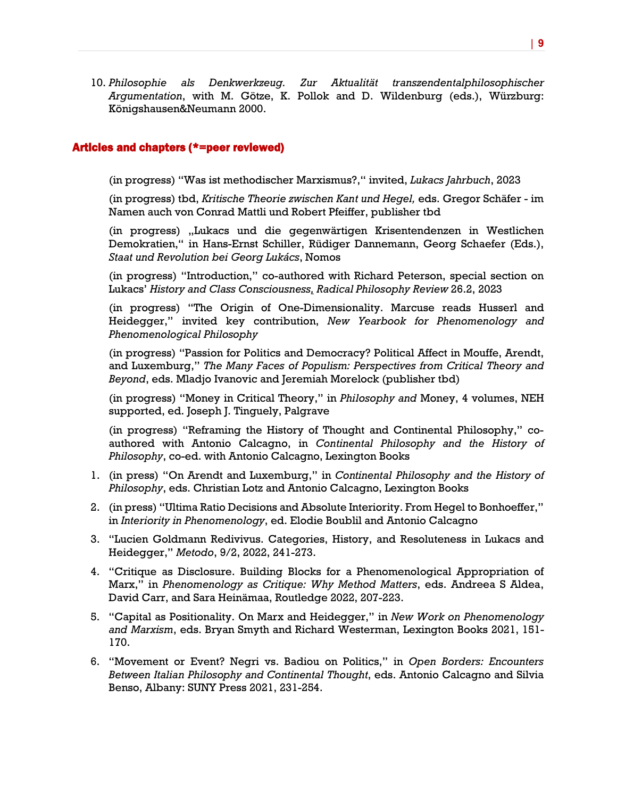10. *Philosophie als Denkwerkzeug. Zur Aktualität transzendentalphilosophischer Argumentation*, with M. Götze, K. Pollok and D. Wildenburg (eds.), Würzburg: Königshausen&Neumann 2000.

#### Articles and chapters (\*=peer reviewed)

(in progress) "Was ist methodischer Marxismus?," invited, *Lukacs Jahrbuch*, 2023

(in progress) tbd, *Kritische Theorie zwischen Kant und Hegel,* eds. Gregor Schäfer - im Namen auch von Conrad Mattli und Robert Pfeiffer, publisher tbd

(in progress) "Lukacs und die gegenwärtigen Krisentendenzen in Westlichen Demokratien," in Hans-Ernst Schiller, Rüdiger Dannemann, Georg Schaefer (Eds.), *Staat und Revolution bei Georg Lukács*, Nomos

(in progress) "Introduction," co-authored with Richard Peterson, special section on Lukacs' *History and Class Consciousness, Radical Philosophy Review* 26.2, 2023

(in progress) "The Origin of One-Dimensionality. Marcuse reads Husserl and Heidegger," invited key contribution, *New Yearbook for Phenomenology and Phenomenological Philosophy*

(in progress) "Passion for Politics and Democracy? Political Affect in Mouffe, Arendt, and Luxemburg," *The Many Faces of Populism: Perspectives from Critical Theory and Beyond*, eds. Mladjo Ivanovic and Jeremiah Morelock (publisher tbd)

(in progress) "Money in Critical Theory," in *Philosophy and* Money, 4 volumes, NEH supported, ed. Joseph J. Tinguely, Palgrave

(in progress) "Reframing the History of Thought and Continental Philosophy," coauthored with Antonio Calcagno, in *Continental Philosophy and the History of Philosophy*, co-ed. with Antonio Calcagno, Lexington Books

- 1. (in press) "On Arendt and Luxemburg," in *Continental Philosophy and the History of Philosophy*, eds. Christian Lotz and Antonio Calcagno, Lexington Books
- 2. (in press) "Ultima Ratio Decisions and Absolute Interiority. From Hegel to Bonhoeffer," in *Interiority in Phenomenology*, ed. Elodie Boublil and Antonio Calcagno
- 3. "Lucien Goldmann Redivivus. Categories, History, and Resoluteness in Lukacs and Heidegger," *Metodo*, 9/2, 2022, 241-273.
- 4. "Critique as Disclosure. Building Blocks for a Phenomenological Appropriation of Marx," in *Phenomenology as Critique: Why Method Matters*, eds. Andreea S Aldea, David Carr, and Sara Heinämaa, Routledge 2022, 207-223.
- 5. "Capital as Positionality. On Marx and Heidegger," in *New Work on Phenomenology and Marxism*, eds. Bryan Smyth and Richard Westerman, Lexington Books 2021, 151- 170.
- 6. "Movement or Event? Negri vs. Badiou on Politics," in *Open Borders: Encounters Between Italian Philosophy and Continental Thought*, eds. Antonio Calcagno and Silvia Benso, Albany: SUNY Press 2021, 231-254.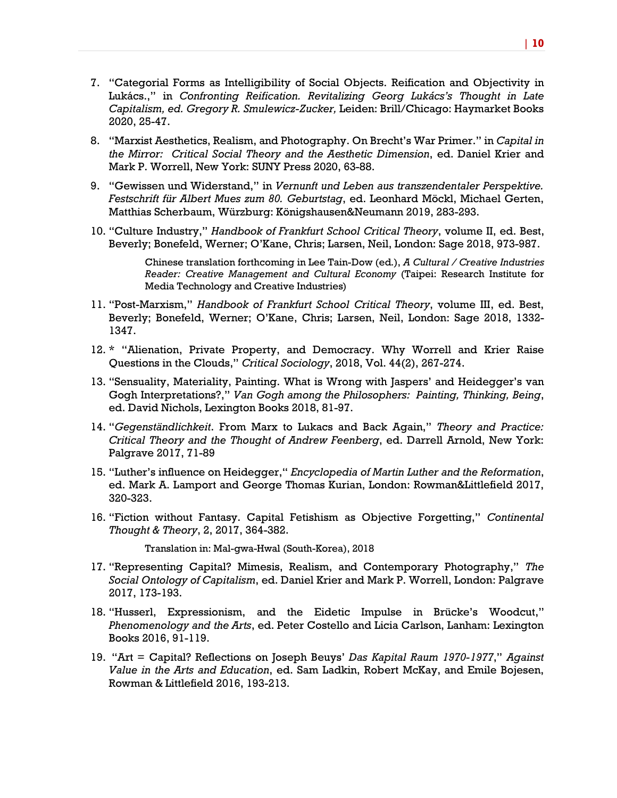- 7. "Categorial Forms as Intelligibility of Social Objects. Reification and Objectivity in Lukács.," in *Confronting Reification. Revitalizing Georg Lukács's Thought in Late Capitalism, ed. Gregory R. Smulewicz-Zucker,* Leiden: Brill/Chicago: Haymarket Books 2020, 25-47.
- 8. "Marxist Aesthetics, Realism, and Photography. On Brecht's War Primer." in *Capital in the Mirror: Critical Social Theory and the Aesthetic Dimension*, ed. Daniel Krier and Mark P. Worrell, New York: SUNY Press 2020, 63-88.
- 9. "Gewissen und Widerstand," in *Vernunft und Leben aus transzendentaler Perspektive. Festschrift für Albert Mues zum 80. Geburtstag*, ed. Leonhard Möckl, Michael Gerten, Matthias Scherbaum, Würzburg: Königshausen&Neumann 2019, 283-293.
- 10. "Culture Industry," *Handbook of Frankfurt School Critical Theory*, volume II, ed. Best, Beverly; Bonefeld, Werner; O'Kane, Chris; Larsen, Neil, London: Sage 2018, 973-987.

Chinese translation forthcoming in Lee Tain-Dow (ed.), *A Cultural / Creative Industries Reader: Creative Management and Cultural Economy* (Taipei: Research Institute for Media Technology and Creative Industries)

- 11. "Post-Marxism," *Handbook of Frankfurt School Critical Theory*, volume III, ed. Best, Beverly; Bonefeld, Werner; O'Kane, Chris; Larsen, Neil, London: Sage 2018, 1332- 1347.
- 12. \* "Alienation, Private Property, and Democracy. Why Worrell and Krier Raise Questions in the Clouds," *Critical Sociology*, 2018, Vol. 44(2), 267-274.
- 13. "Sensuality, Materiality, Painting. What is Wrong with Jaspers' and Heidegger's van Gogh Interpretations?," *Van Gogh among the Philosophers: Painting, Thinking, Being*, ed. David Nichols, Lexington Books 2018, 81-97.
- 14. "*Gegenständlichkeit*. From Marx to Lukacs and Back Again," *Theory and Practice: Critical Theory and the Thought of Andrew Feenberg*, ed. Darrell Arnold, New York: Palgrave 2017, 71-89
- 15. "Luther's influence on Heidegger," *Encyclopedia of Martin Luther and the Reformation*, ed. Mark A. Lamport and George Thomas Kurian, London: Rowman&Littlefield 2017, 320-323.
- 16. "Fiction without Fantasy. Capital Fetishism as Objective Forgetting," *Continental Thought & Theory*, 2, 2017, 364-382.

Translation in: Mal-gwa-Hwal (South-Korea), 2018

- 17. "Representing Capital? Mimesis, Realism, and Contemporary Photography," *The Social Ontology of Capitalism*, ed. Daniel Krier and Mark P. Worrell, London: Palgrave 2017, 173-193.
- 18. "Husserl, Expressionism, and the Eidetic Impulse in Brücke's Woodcut," *Phenomenology and the Arts*, ed. Peter Costello and Licia Carlson, Lanham: Lexington Books 2016, 91-119.
- 19. "Art = Capital? Reflections on Joseph Beuys' *Das Kapital Raum 1970-1977*," *Against Value in the Arts and Education*, ed. Sam Ladkin, Robert McKay, and Emile Bojesen, Rowman & Littlefield 2016, 193-213.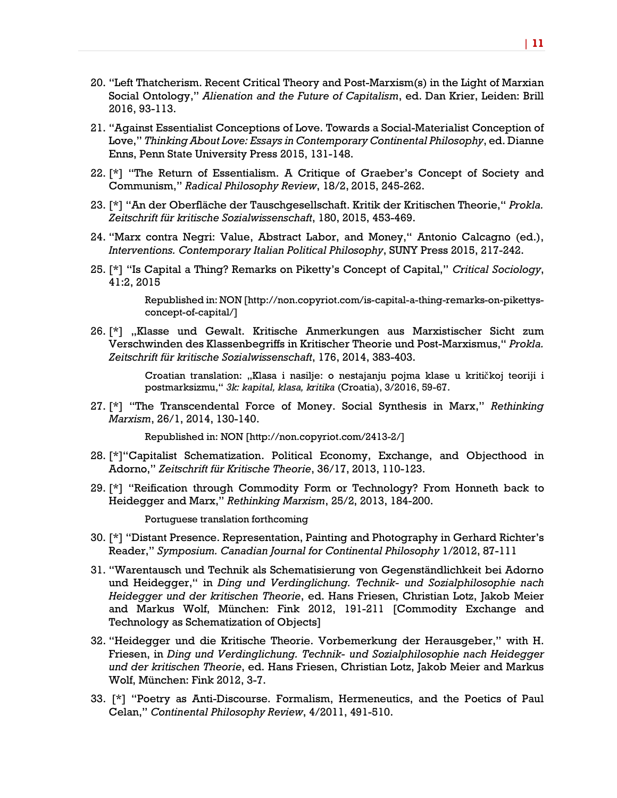- 20. "Left Thatcherism. Recent Critical Theory and Post-Marxism(s) in the Light of Marxian Social Ontology," *Alienation and the Future of Capitalism*, ed. Dan Krier, Leiden: Brill 2016, 93-113.
- 21. "Against Essentialist Conceptions of Love. Towards a Social-Materialist Conception of Love," *Thinking About Love: Essays in Contemporary Continental Philosophy*, ed. Dianne Enns, Penn State University Press 2015, 131-148.
- 22. [\*] "The Return of Essentialism. A Critique of Graeber's Concept of Society and Communism," *Radical Philosophy Review*, 18/2, 2015, 245-262.
- 23. [\*] "An der Oberfläche der Tauschgesellschaft. Kritik der Kritischen Theorie," *Prokla. Zeitschrift für kritische Sozialwissenschaft*, 180, 2015, 453-469.
- 24. "Marx contra Negri: Value, Abstract Labor, and Money," Antonio Calcagno (ed.), *Interventions. Contemporary Italian Political Philosophy*, SUNY Press 2015, 217-242.
- 25. [\*] "Is Capital a Thing? Remarks on Piketty's Concept of Capital," *Critical Sociology*, 41:2, 2015

Republished in: NON [http://non.copyriot.com/is-capital-a-thing-remarks-on-pikettysconcept-of-capital/]

26. [\*] "Klasse und Gewalt. Kritische Anmerkungen aus Marxistischer Sicht zum Verschwinden des Klassenbegriffs in Kritischer Theorie und Post-Marxismus," *Prokla. Zeitschrift für kritische Sozialwissenschaft*, 176, 2014, 383-403.

> Croatian translation: "Klasa i nasilje: o nestajanju pojma klase u kritičkoj teoriji i postmarksizmu," *3k: kapital, klasa, kritika* (Croatia), 3/2016, 59-67.

27. [\*] "The Transcendental Force of Money. Social Synthesis in Marx," *Rethinking Marxism*, 26/1, 2014, 130-140.

Republished in: NON [http://non.copyriot.com/2413-2/]

- 28. [\*]"Capitalist Schematization. Political Economy, Exchange, and Objecthood in Adorno," *Zeitschrift für Kritische Theorie*, 36/17, 2013, 110-123.
- 29. [\*] "Reification through Commodity Form or Technology? From Honneth back to Heidegger and Marx," *Rethinking Marxism*, 25/2, 2013, 184-200.

Portuguese translation forthcoming

- 30. [\*] "Distant Presence. Representation, Painting and Photography in Gerhard Richter's Reader," *Symposium. Canadian Journal for Continental Philosophy* 1/2012, 87-111
- 31. "Warentausch und Technik als Schematisierung von Gegenständlichkeit bei Adorno und Heidegger," in *Ding und Verdinglichung. Technik- und Sozialphilosophie nach Heidegger und der kritischen Theorie*, ed. Hans Friesen, Christian Lotz, Jakob Meier and Markus Wolf, München: Fink 2012, 191-211 [Commodity Exchange and Technology as Schematization of Objects]
- 32. "Heidegger und die Kritische Theorie. Vorbemerkung der Herausgeber," with H. Friesen, in *Ding und Verdinglichung. Technik- und Sozialphilosophie nach Heidegger und der kritischen Theorie*, ed. Hans Friesen, Christian Lotz, Jakob Meier and Markus Wolf, München: Fink 2012, 3-7.
- 33. [\*] "Poetry as Anti-Discourse. Formalism, Hermeneutics, and the Poetics of Paul Celan," *Continental Philosophy Review*, 4/2011, 491-510.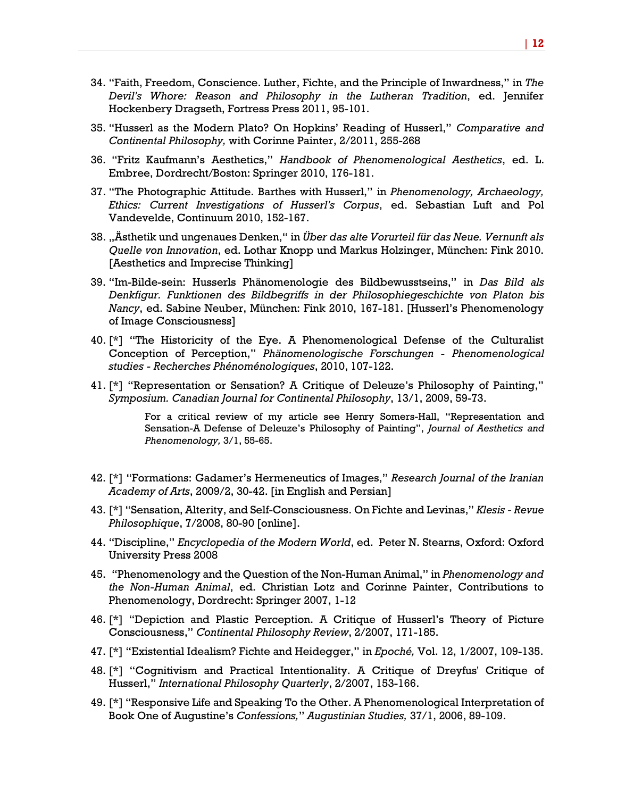- 34. "Faith, Freedom, Conscience. Luther, Fichte, and the Principle of Inwardness," in *The Devil's Whore: Reason and Philosophy in the Lutheran Tradition*, ed. Jennifer Hockenbery Dragseth, Fortress Press 2011, 95-101.
- 35. "Husserl as the Modern Plato? On Hopkins' Reading of Husserl," *Comparative and Continental Philosophy,* with Corinne Painter, 2/2011, 255-268
- 36. "Fritz Kaufmann's Aesthetics," *Handbook of Phenomenological Aesthetics*, ed. L. Embree, Dordrecht/Boston: Springer 2010, 176-181.
- 37. "The Photographic Attitude. Barthes with Husserl," in *Phenomenology, Archaeology, Ethics: Current Investigations of Husserl's Corpus*, ed. Sebastian Luft and Pol Vandevelde, Continuum 2010, 152-167.
- 38. "Ästhetik und ungenaues Denken," in *Über das alte Vorurteil für das Neue. Vernunft als Quelle von Innovation*, ed. Lothar Knopp und Markus Holzinger, München: Fink 2010. [Aesthetics and Imprecise Thinking]
- 39. "Im-Bilde-sein: Husserls Phänomenologie des Bildbewusstseins," in *Das Bild als Denkfigur. Funktionen des Bildbegriffs in der Philosophiegeschichte von Platon bis Nancy*, ed. Sabine Neuber, München: Fink 2010, 167-181. [Husserl's Phenomenology of Image Consciousness]
- 40. [\*] "The Historicity of the Eye. A Phenomenological Defense of the Culturalist Conception of Perception," *Phänomenologische Forschungen - Phenomenological studies - Recherches Phénoménologiques*, 2010, 107-122.
- 41. [\*] "Representation or Sensation? A Critique of Deleuze's Philosophy of Painting," *Symposium. Canadian Journal for Continental Philosophy*, 13/1, 2009, 59-73.

For a critical review of my article see Henry Somers-Hall, "Representation and Sensation-A Defense of Deleuze's Philosophy of Painting", *Journal of Aesthetics and Phenomenology,* 3/1, 55-65.

- 42. [\*] "Formations: Gadamer's Hermeneutics of Images," *Research Journal of the Iranian Academy of Arts*, 2009/2, 30-42. [in English and Persian]
- 43. [\*] "Sensation, Alterity, and Self-Consciousness. On Fichte and Levinas," *Klesis - Revue Philosophique*, 7/2008, 80-90 [online].
- 44. "Discipline," *Encyclopedia of the Modern World*, ed. Peter N. Stearns, Oxford: Oxford University Press 2008
- 45. "Phenomenology and the Question of the Non-Human Animal," in *Phenomenology and the Non-Human Animal*, ed. Christian Lotz and Corinne Painter, Contributions to Phenomenology, Dordrecht: Springer 2007, 1-12
- 46. [\*] "Depiction and Plastic Perception. A Critique of Husserl's Theory of Picture Consciousness," *Continental Philosophy Review*, 2/2007, 171-185.
- 47. [\*] "Existential Idealism? Fichte and Heidegger," in *Epoché,* Vol. 12, 1/2007, 109-135.
- 48. [\*] "Cognitivism and Practical Intentionality. A Critique of Dreyfus' Critique of Husserl," *International Philosophy Quarterly*, 2/2007, 153-166.
- 49. [\*] "Responsive Life and Speaking To the Other. A Phenomenological Interpretation of Book One of Augustine's *Confessions,*" *Augustinian Studies,* 37/1, 2006, 89-109.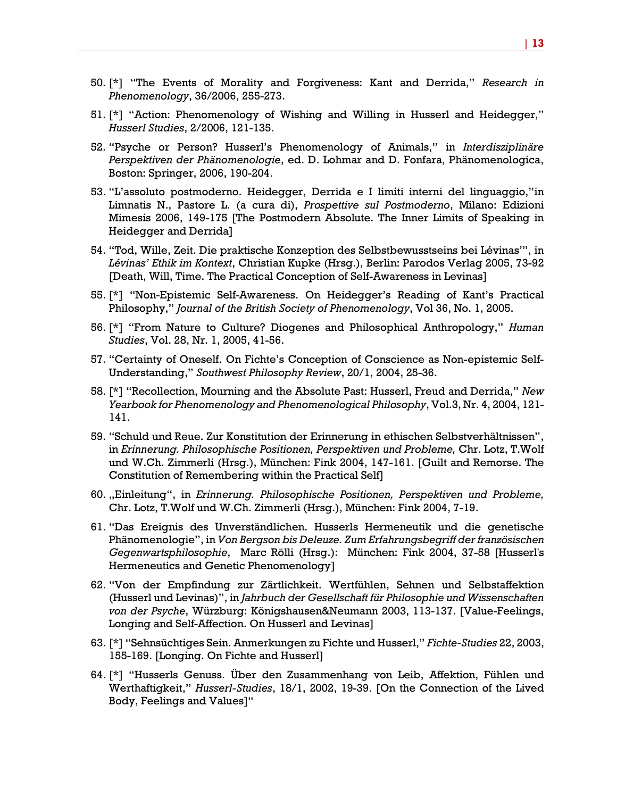- 50. [\*] "The Events of Morality and Forgiveness: Kant and Derrida," *Research in Phenomenology*, 36/2006, 255-273.
- 51. [\*] "Action: Phenomenology of Wishing and Willing in Husserl and Heidegger," *Husserl Studies*, 2/2006, 121-135.
- 52. "Psyche or Person? Husserl's Phenomenology of Animals," in *Interdisziplinäre Perspektiven der Phänomenologie*, ed. D. Lohmar and D. Fonfara, Phänomenologica, Boston: Springer, 2006, 190-204.
- 53. "L'assoluto postmoderno. Heidegger, Derrida e I limiti interni del linguaggio,"in Limnatis N., Pastore L. (a cura di), *Prospettive sul Postmoderno*, Milano: Edizioni Mimesis 2006, 149-175 [The Postmodern Absolute. The Inner Limits of Speaking in Heidegger and Derrida]
- 54. "Tod, Wille, Zeit. Die praktische Konzeption des Selbstbewusstseins bei Lévinas'", in *Lévinas' Ethik im Kontext*, Christian Kupke (Hrsg.), Berlin: Parodos Verlag 2005, 73-92 [Death, Will, Time. The Practical Conception of Self-Awareness in Levinas]
- 55. [\*] "Non-Epistemic Self-Awareness. On Heidegger's Reading of Kant's Practical Philosophy," *Journal of the British Society of Phenomenology*, Vol 36, No. 1, 2005.
- 56. [\*] "From Nature to Culture? Diogenes and Philosophical Anthropology," *Human Studies*, Vol. 28, Nr. 1, 2005, 41-56.
- 57. "Certainty of Oneself. On Fichte's Conception of Conscience as Non-epistemic Self-Understanding," *Southwest Philosophy Review*, 20/1, 2004, 25-36.
- 58. [\*] "Recollection, Mourning and the Absolute Past: Husserl, Freud and Derrida," *New Yearbook for Phenomenology and Phenomenological Philosophy*, Vol.3, Nr. 4, 2004, 121- 141.
- 59. "Schuld und Reue. Zur Konstitution der Erinnerung in ethischen Selbstverhältnissen", in *Erinnerung. Philosophische Positionen, Perspektiven und Probleme,* Chr. Lotz, T.Wolf und W.Ch. Zimmerli (Hrsg.), München: Fink 2004, 147-161. [Guilt and Remorse. The Constitution of Remembering within the Practical Self]
- 60. "Einleitung", in *Erinnerung. Philosophische Positionen, Perspektiven und Probleme,*  Chr. Lotz, T.Wolf und W.Ch. Zimmerli (Hrsg.), München: Fink 2004, 7-19.
- 61. "Das Ereignis des Unverständlichen. Husserls Hermeneutik und die genetische Phänomenologie", in *Von Bergson bis Deleuze. Zum Erfahrungsbegriff der französischen Gegenwartsphilosophie*, Marc Rölli (Hrsg.): München: Fink 2004, 37-58 [Husserl's Hermeneutics and Genetic Phenomenology]
- 62. "Von der Empfindung zur Zärtlichkeit. Wertfühlen, Sehnen und Selbstaffektion (Husserl und Levinas)", in *Jahrbuch der Gesellschaft für Philosophie und Wissenschaften von der Psyche*, Würzburg: Königshausen&Neumann 2003, 113-137. [Value-Feelings, Longing and Self-Affection. On Husserl and Levinas]
- 63. [\*] "Sehnsüchtiges Sein. Anmerkungen zu Fichte und Husserl," *Fichte-Studies* 22, 2003, 155-169. [Longing. On Fichte and Husserl]
- 64. [\*] "Husserls Genuss. Über den Zusammenhang von Leib, Affektion, Fühlen und Werthaftigkeit," *Husserl-Studies*, 18/1, 2002, 19-39. [On the Connection of the Lived Body, Feelings and Values]"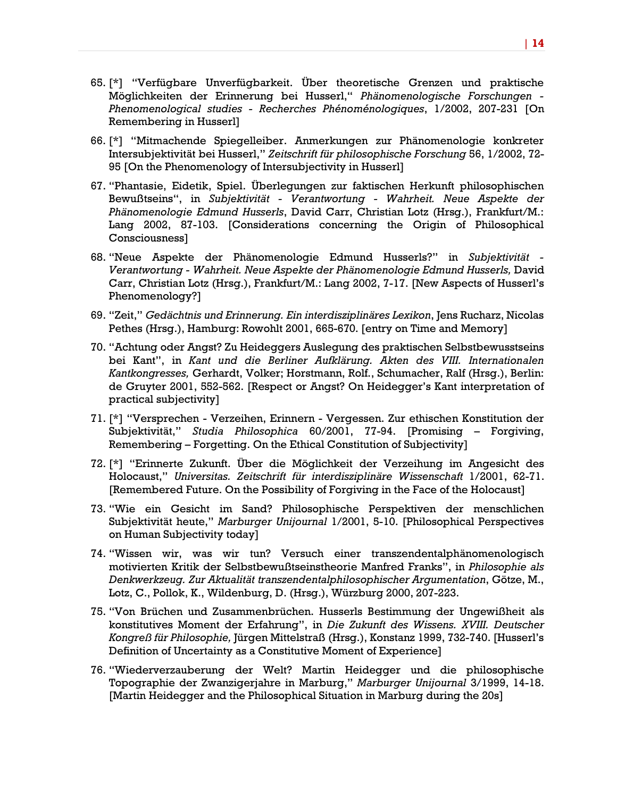- 65. [\*] "Verfügbare Unverfügbarkeit. Über theoretische Grenzen und praktische Möglichkeiten der Erinnerung bei Husserl," *Phänomenologische Forschungen - Phenomenological studies - Recherches Phénoménologiques*, 1/2002, 207-231 [On Remembering in Husserl]
- 66. [\*] "Mitmachende Spiegelleiber. Anmerkungen zur Phänomenologie konkreter Intersubjektivität bei Husserl," *Zeitschrift für philosophische Forschung* 56, 1/2002, 72- 95 [On the Phenomenology of Intersubjectivity in Husserl]
- 67. "Phantasie, Eidetik, Spiel. Überlegungen zur faktischen Herkunft philosophischen Bewußtseins", in *Subjektivität - Verantwortung - Wahrheit. Neue Aspekte der Phänomenologie Edmund Husserls*, David Carr, Christian Lotz (Hrsg.), Frankfurt/M.: Lang 2002, 87-103. [Considerations concerning the Origin of Philosophical Consciousness]
- 68. "Neue Aspekte der Phänomenologie Edmund Husserls?" in *Subjektivität - Verantwortung - Wahrheit. Neue Aspekte der Phänomenologie Edmund Husserls,* David Carr, Christian Lotz (Hrsg.), Frankfurt/M.: Lang 2002, 7-17. [New Aspects of Husserl's Phenomenology?]
- 69. "Zeit," *Gedächtnis und Erinnerung. Ein interdisziplinäres Lexikon*, Jens Rucharz, Nicolas Pethes (Hrsg.), Hamburg: Rowohlt 2001, 665-670. [entry on Time and Memory]
- 70. "Achtung oder Angst? Zu Heideggers Auslegung des praktischen Selbstbewusstseins bei Kant", in *Kant und die Berliner Aufklärung. Akten des VIII. Internationalen Kantkongresses,* Gerhardt, Volker; Horstmann, Rolf., Schumacher, Ralf (Hrsg.), Berlin: de Gruyter 2001, 552-562. [Respect or Angst? On Heidegger's Kant interpretation of practical subjectivity]
- 71. [\*] "Versprechen Verzeihen, Erinnern Vergessen. Zur ethischen Konstitution der Subjektivität," *Studia Philosophica* 60/2001, 77-94. [Promising – Forgiving, Remembering – Forgetting. On the Ethical Constitution of Subjectivity]
- 72. [\*] "Erinnerte Zukunft. Über die Möglichkeit der Verzeihung im Angesicht des Holocaust," *Universitas. Zeitschrift für interdisziplinäre Wissenschaft* 1/2001, 62-71. [Remembered Future. On the Possibility of Forgiving in the Face of the Holocaust]
- 73. "Wie ein Gesicht im Sand? Philosophische Perspektiven der menschlichen Subjektivität heute," *Marburger Unijournal* 1/2001, 5-10. [Philosophical Perspectives on Human Subjectivity today]
- 74. "Wissen wir, was wir tun? Versuch einer transzendentalphänomenologisch motivierten Kritik der Selbstbewußtseinstheorie Manfred Franks", in *Philosophie als Denkwerkzeug. Zur Aktualität transzendentalphilosophischer Argumentation*, Götze, M., Lotz, C., Pollok, K., Wildenburg, D. (Hrsg.), Würzburg 2000, 207-223.
- 75. "Von Brüchen und Zusammenbrüchen. Husserls Bestimmung der Ungewißheit als konstitutives Moment der Erfahrung", in *Die Zukunft des Wissens. XVIII. Deutscher Kongreß für Philosophie,* Jürgen Mittelstraß (Hrsg.), Konstanz 1999, 732-740. [Husserl's Definition of Uncertainty as a Constitutive Moment of Experience]
- 76. "Wiederverzauberung der Welt? Martin Heidegger und die philosophische Topographie der Zwanzigerjahre in Marburg," *Marburger Unijournal* 3/1999, 14-18. [Martin Heidegger and the Philosophical Situation in Marburg during the 20s]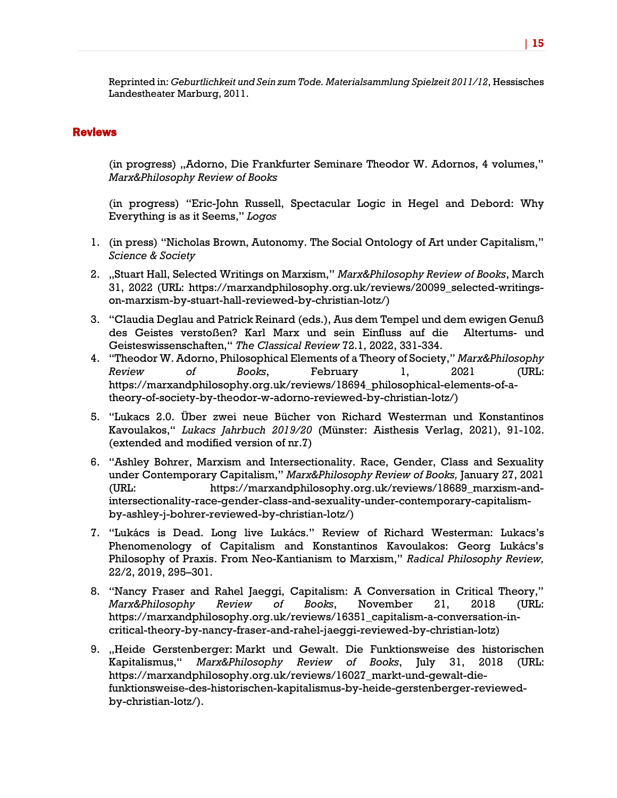Reprinted in: *Geburtlichkeit und Sein zum Tode. Materialsammlung Spielzeit 2011/12*, Hessisches Landestheater Marburg, 2011.

#### Reviews

(in progress) "Adorno, Die Frankfurter Seminare Theodor W. Adornos, 4 volumes," *Marx&Philosophy Review of Books*

(in progress) "Eric-John Russell, Spectacular Logic in Hegel and Debord: Why Everything is as it Seems," *Logos*

- 1. (in press) "Nicholas Brown, Autonomy. The Social Ontology of Art under Capitalism," *Science & Society*
- 2. "Stuart Hall, Selected Writings on Marxism," *Marx&Philosophy Review of Books*, March 31, 2022 (URL: https://marxandphilosophy.org.uk/reviews/20099\_selected-writingson-marxism-by-stuart-hall-reviewed-by-christian-lotz/)
- 3. "Claudia Deglau and Patrick Reinard (eds.), Aus dem Tempel und dem ewigen Genuß des Geistes verstoßen? Karl Marx und sein Einfluss auf die Altertums- und Geisteswissenschaften," *The Classical Review* 72.1, 2022, 331-334.
- 4. "Theodor W. Adorno, Philosophical Elements of a Theory of Society," *Marx&Philosophy Review of Books*, February 1, 2021 (URL: https://marxandphilosophy.org.uk/reviews/18694\_philosophical-elements-of-atheory-of-society-by-theodor-w-adorno-reviewed-by-christian-lotz/)
- 5. "Lukacs 2.0. Über zwei neue Bücher von Richard Westerman und Konstantinos Kavoulakos," *Lukacs Jahrbuch 2019/20* (Münster: Aisthesis Verlag, 2021), 91-102. (extended and modified version of nr.7)
- 6. "Ashley Bohrer, Marxism and Intersectionality. Race, Gender, Class and Sexuality under Contemporary Capitalism," *Marx&Philosophy Review of Books,* January 27, 2021 (URL: https://marxandphilosophy.org.uk/reviews/18689\_marxism-andintersectionality-race-gender-class-and-sexuality-under-contemporary-capitalismby-ashley-j-bohrer-reviewed-by-christian-lotz/)
- 7. "Lukács is Dead. Long live Lukács." Review of Richard Westerman: Lukacs's Phenomenology of Capitalism and Konstantinos Kavoulakos: Georg Lukács's Philosophy of Praxis. From Neo-Kantianism to Marxism," *Radical Philosophy Review,*  22/2, 2019, 295–301.
- 8. "Nancy Fraser and Rahel Jaeggi, Capitalism: A Conversation in Critical Theory," *Marx&Philosophy Review of Books*, November 21, 2018 (URL: https://marxandphilosophy.org.uk/reviews/16351\_capitalism-a-conversation-incritical-theory-by-nancy-fraser-and-rahel-jaeggi-reviewed-by-christian-lotz)
- 9. "Heide Gerstenberger: Markt und Gewalt. Die Funktionsweise des historischen Kapitalismus," *Marx&Philosophy Review of Books*, July 31, 2018 (URL: https://marxandphilosophy.org.uk/reviews/16027\_markt-und-gewalt-diefunktionsweise-des-historischen-kapitalismus-by-heide-gerstenberger-reviewedby-christian-lotz/).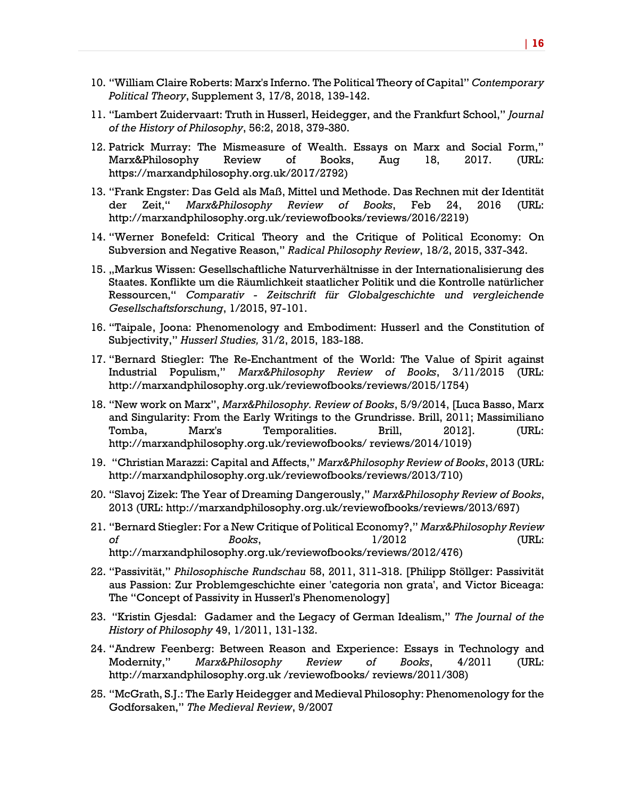- 10. "William Claire Roberts: Marx's Inferno. The Political Theory of Capital" *Contemporary Political Theory*, Supplement 3, 17/8, 2018, 139-142.
- 11. "Lambert Zuidervaart: Truth in Husserl, Heidegger, and the Frankfurt School," *Journal of the History of Philosophy*, 56:2, 2018, 379-380.
- 12. Patrick Murray: The Mismeasure of Wealth. Essays on Marx and Social Form," Marx&Philosophy Review of Books, Aug 18, 2017. (URL: https://marxandphilosophy.org.uk/2017/2792)
- 13. "Frank Engster: Das Geld als Maß, Mittel und Methode. Das Rechnen mit der Identität der Zeit," *Marx&Philosophy Review of Books*, Feb 24, 2016 (URL: http://marxandphilosophy.org.uk/reviewofbooks/reviews/2016/2219)
- 14. "Werner Bonefeld: Critical Theory and the Critique of Political Economy: On Subversion and Negative Reason," *Radical Philosophy Review*, 18/2, 2015, 337-342.
- 15. "Markus Wissen: Gesellschaftliche Naturverhältnisse in der Internationalisierung des Staates. Konflikte um die Räumlichkeit staatlicher Politik und die Kontrolle natürlicher Ressourcen," *Comparativ - Zeitschrift für Globalgeschichte und vergleichende Gesellschaftsforschung*, 1/2015, 97-101.
- 16. "Taipale, Joona: Phenomenology and Embodiment: Husserl and the Constitution of Subjectivity," *Husserl Studies,* 31/2, 2015, 183-188.
- 17. "Bernard Stiegler: The Re-Enchantment of the World: The Value of Spirit against Industrial Populism," *Marx&Philosophy Review of Books*, 3/11/2015 (URL: http://marxandphilosophy.org.uk/reviewofbooks/reviews/2015/1754)
- 18. "New work on Marx", *Marx&Philosophy. Review of Books*, 5/9/2014, [Luca Basso, Marx and Singularity: From the Early Writings to the Grundrisse. Brill, 2011; Massimiliano Tomba, Marx's Temporalities. Brill, 2012]. (URL: http://marxandphilosophy.org.uk/reviewofbooks/ reviews/2014/1019)
- 19. "Christian Marazzi: Capital and Affects," *Marx&Philosophy Review of Books*, 2013 (URL: http://marxandphilosophy.org.uk/reviewofbooks/reviews/2013/710)
- 20. "Slavoj Zizek: The Year of Dreaming Dangerously," *Marx&Philosophy Review of Books*, 2013 (URL: http://marxandphilosophy.org.uk/reviewofbooks/reviews/2013/697)
- 21. "Bernard Stiegler: For a New Critique of Political Economy?," *Marx&Philosophy Review of Books*, 1/2012 (URL: http://marxandphilosophy.org.uk/reviewofbooks/reviews/2012/476)
- 22. "Passivität," *Philosophische Rundschau* 58, 2011, 311-318. [Philipp Stöllger: Passivität aus Passion: Zur Problemgeschichte einer 'categoria non grata', and Victor Biceaga: The "Concept of Passivity in Husserl's Phenomenology]
- 23. "Kristin Gjesdal: Gadamer and the Legacy of German Idealism," *The Journal of the History of Philosophy* 49, 1/2011, 131-132.
- 24. "Andrew Feenberg: Between Reason and Experience: Essays in Technology and Modernity," *Marx&Philosophy Review of Books*, 4/2011 (URL: http://marxandphilosophy.org.uk /reviewofbooks/ reviews/2011/308)
- 25. "McGrath, S.J.: The Early Heidegger and Medieval Philosophy: Phenomenology for the Godforsaken," *The Medieval Review*, 9/2007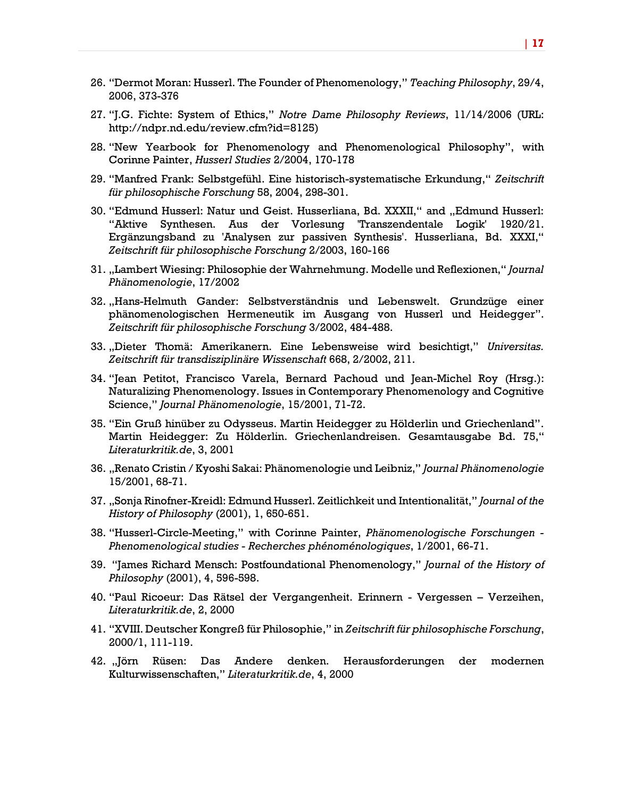- 26. "Dermot Moran: Husserl. The Founder of Phenomenology," *Teaching Philosophy*, 29/4, 2006, 373-376
- 27. "J.G. Fichte: System of Ethics," *Notre Dame Philosophy Reviews*, 11/14/2006 (URL: http://ndpr.nd.edu/review.cfm?id=8125)
- 28. "New Yearbook for Phenomenology and Phenomenological Philosophy", with Corinne Painter, *Husserl Studies* 2/2004, 170-178
- 29. "Manfred Frank: Selbstgefühl. Eine historisch-systematische Erkundung," *Zeitschrift für philosophische Forschung* 58, 2004, 298-301.
- 30. "Edmund Husserl: Natur und Geist. Husserliana, Bd. XXXII," and "Edmund Husserl: "Aktive Synthesen. Aus der Vorlesung 'Transzendentale Logik' 1920/21. Ergänzungsband zu 'Analysen zur passiven Synthesis'. Husserliana, Bd. XXXI," *Zeitschrift für philosophische Forschung* 2/2003, 160-166
- 31. "Lambert Wiesing: Philosophie der Wahrnehmung. Modelle und Reflexionen," *Journal Phänomenologie*, 17/2002
- 32. "Hans-Helmuth Gander: Selbstverständnis und Lebenswelt. Grundzüge einer phänomenologischen Hermeneutik im Ausgang von Husserl und Heidegger". *Zeitschrift für philosophische Forschung* 3/2002, 484-488.
- 33. "Dieter Thomä: Amerikanern. Eine Lebensweise wird besichtigt," *Universitas. Zeitschrift für transdisziplinäre Wissenschaft* 668, 2/2002, 211.
- 34. "Jean Petitot, Francisco Varela, Bernard Pachoud und Jean-Michel Roy (Hrsg.): Naturalizing Phenomenology. Issues in Contemporary Phenomenology and Cognitive Science," *Journal Phänomenologie*, 15/2001, 71-72.
- 35. "Ein Gruß hinüber zu Odysseus. Martin Heidegger zu Hölderlin und Griechenland". Martin Heidegger: Zu Hölderlin. Griechenlandreisen. Gesamtausgabe Bd. 75," *Literaturkritik.de*, 3, 2001
- 36. "Renato Cristin / Kyoshi Sakai: Phänomenologie und Leibniz," *Journal Phänomenologie* 15/2001, 68-71.
- 37. "Sonja Rinofner-Kreidl: Edmund Husserl. Zeitlichkeit und Intentionalität," *Journal of the History of Philosophy* (2001), 1, 650-651.
- 38. "Husserl-Circle-Meeting," with Corinne Painter, *Phänomenologische Forschungen - Phenomenological studies - Recherches phénoménologiques*, 1/2001, 66-71.
- 39. "James Richard Mensch: Postfoundational Phenomenology," *Journal of the History of Philosophy* (2001), 4, 596-598.
- 40. "Paul Ricoeur: Das Rätsel der Vergangenheit. Erinnern Vergessen Verzeihen, *Literaturkritik.de*, 2, 2000
- 41. "XVIII. Deutscher Kongreß für Philosophie," in *Zeitschrift für philosophische Forschung*, 2000/1, 111-119.
- 42. "Jörn Rüsen: Das Andere denken. Herausforderungen der modernen Kulturwissenschaften," *Literaturkritik.de*, 4, 2000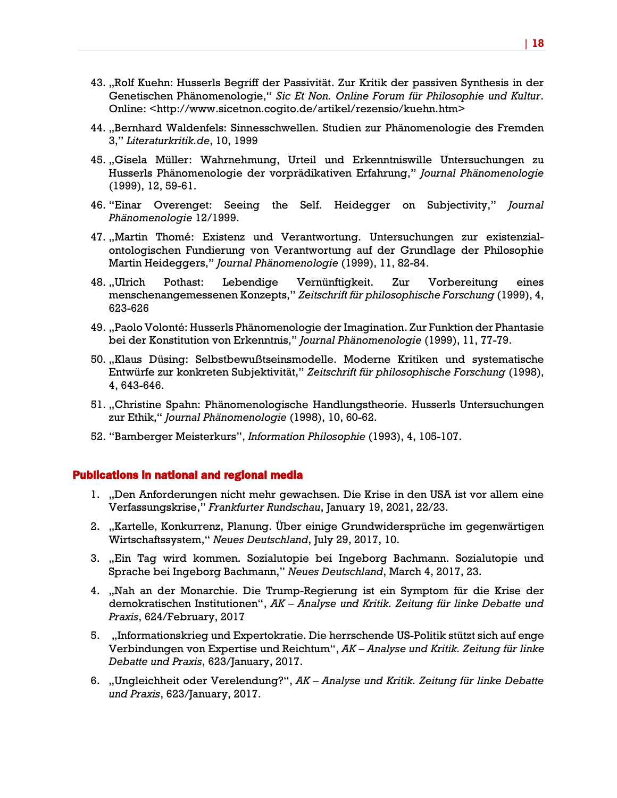- 43. "Rolf Kuehn: Husserls Begriff der Passivität. Zur Kritik der passiven Synthesis in der Genetischen Phänomenologie," *Sic Et Non. Online Forum für Philosophie und Kultur*. Online: <http://www.sicetnon.cogito.de/artikel/rezensio/kuehn.htm>
- 44. "Bernhard Waldenfels: Sinnesschwellen. Studien zur Phänomenologie des Fremden 3," *Literaturkritik.de*, 10, 1999
- 45. "Gisela Müller: Wahrnehmung, Urteil und Erkenntniswille Untersuchungen zu Husserls Phänomenologie der vorprädikativen Erfahrung," *Journal Phänomenologie* (1999), 12, 59-61.
- 46. "Einar Overenget: Seeing the Self. Heidegger on Subjectivity," *Journal Phänomenologie* 12/1999.
- 47. "Martin Thomé: Existenz und Verantwortung. Untersuchungen zur existenzialontologischen Fundierung von Verantwortung auf der Grundlage der Philosophie Martin Heideggers," *Journal Phänomenologie* (1999), 11, 82-84.
- 48. "Ulrich Pothast: Lebendige Vernünftigkeit. Zur Vorbereitung eines menschenangemessenen Konzepts," *Zeitschrift für philosophische Forschung* (1999), 4, 623-626
- 49. "Paolo Volonté: Husserls Phänomenologie der Imagination. Zur Funktion der Phantasie bei der Konstitution von Erkenntnis," *Journal Phänomenologie* (1999), 11, 77-79.
- 50. "Klaus Düsing: Selbstbewußtseinsmodelle. Moderne Kritiken und systematische Entwürfe zur konkreten Subjektivität," *Zeitschrift für philosophische Forschung* (1998), 4, 643-646.
- 51. "Christine Spahn: Phänomenologische Handlungstheorie. Husserls Untersuchungen zur Ethik," *Journal Phänomenologie* (1998), 10, 60-62.
- 52. "Bamberger Meisterkurs", *Information Philosophie* (1993), 4, 105-107.

#### Publications in national and regional media

- 1. "Den Anforderungen nicht mehr gewachsen. Die Krise in den USA ist vor allem eine Verfassungskrise," *Frankfurter Rundschau*, January 19, 2021, 22/23.
- 2. "Kartelle, Konkurrenz, Planung. Über einige Grundwidersprüche im gegenwärtigen Wirtschaftssystem," *Neues Deutschland*, July 29, 2017, 10.
- 3. "Ein Tag wird kommen. Sozialutopie bei Ingeborg Bachmann. Sozialutopie und Sprache bei Ingeborg Bachmann," *Neues Deutschland*, March 4, 2017, 23.
- 4. "Nah an der Monarchie. Die Trump-Regierung ist ein Symptom für die Krise der demokratischen Institutionen", *AK – Analyse und Kritik. Zeitung für linke Debatte und Praxis*, 624/February, 2017
- 5. "Informationskrieg und Expertokratie. Die herrschende US-Politik stützt sich auf enge Verbindungen von Expertise und Reichtum", *AK – Analyse und Kritik. Zeitung für linke Debatte und Praxis*, 623/January, 2017.
- 6. "Ungleichheit oder Verelendung?", *AK – Analyse und Kritik. Zeitung für linke Debatte und Praxis*, 623/January, 2017.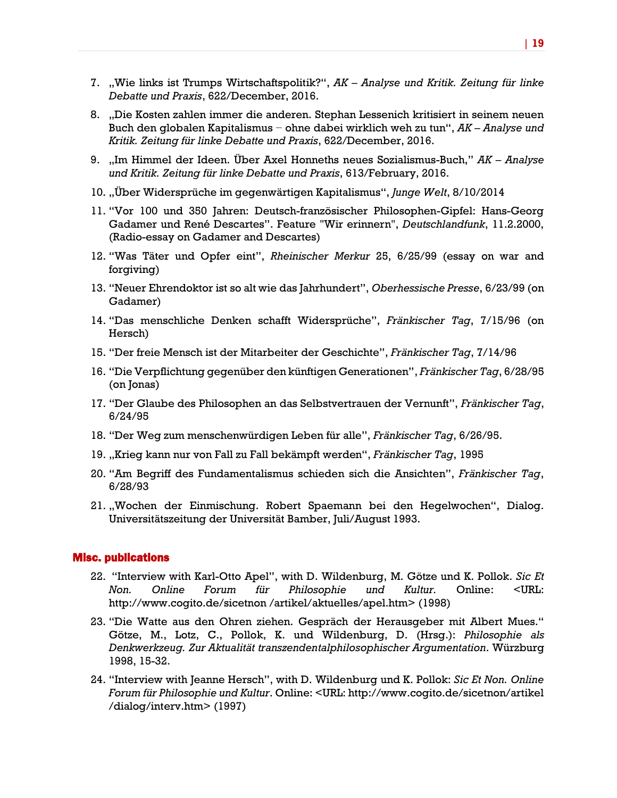- 7. "Wie links ist Trumps Wirtschaftspolitik?", *AK – Analyse und Kritik. Zeitung für linke Debatte und Praxis*, 622/December, 2016.
- 8. "Die Kosten zahlen immer die anderen. Stephan Lessenich kritisiert in seinem neuen Buch den globalen Kapitalismus − ohne dabei wirklich weh zu tun", *AK – Analyse und Kritik. Zeitung für linke Debatte und Praxis*, 622/December, 2016.
- 9. "Im Himmel der Ideen. Über Axel Honneths neues Sozialismus-Buch," *AK – Analyse und Kritik. Zeitung für linke Debatte und Praxis*, 613/February, 2016.
- 10. "Über Widersprüche im gegenwärtigen Kapitalismus", *Junge Welt*, 8/10/2014
- 11. "Vor 100 und 350 Jahren: Deutsch-französischer Philosophen-Gipfel: Hans-Georg Gadamer und René Descartes". Feature "Wir erinnern", *Deutschlandfunk*, 11.2.2000, (Radio-essay on Gadamer and Descartes)
- 12. "Was Täter und Opfer eint", *Rheinischer Merkur* 25, 6/25/99 (essay on war and forgiving)
- 13. "Neuer Ehrendoktor ist so alt wie das Jahrhundert", *Oberhessische Presse*, 6/23/99 (on Gadamer)
- 14. "Das menschliche Denken schafft Widersprüche", *Fränkischer Tag*, 7/15/96 (on Hersch)
- 15. "Der freie Mensch ist der Mitarbeiter der Geschichte", *Fränkischer Tag*, 7/14/96
- 16. "Die Verpflichtung gegenüber den künftigen Generationen", *Fränkischer Tag*, 6/28/95 (on Jonas)
- 17. "Der Glaube des Philosophen an das Selbstvertrauen der Vernunft", *Fränkischer Tag*, 6/24/95
- 18. "Der Weg zum menschenwürdigen Leben für alle", *Fränkischer Tag*, 6/26/95.
- 19. "Krieg kann nur von Fall zu Fall bekämpft werden", *Fränkischer Tag*, 1995
- 20. "Am Begriff des Fundamentalismus schieden sich die Ansichten", *Fränkischer Tag*, 6/28/93
- 21. "Wochen der Einmischung. Robert Spaemann bei den Hegelwochen", Dialog. Universitätszeitung der Universität Bamber, Juli/August 1993.

#### Misc. publications

- 22. "Interview with Karl-Otto Apel", with D. Wildenburg, M. Götze und K. Pollok. *Sic Et Non. Online Forum für Philosophie und Kultur.* Online: <URL: http://www.cogito.de/sicetnon /artikel/aktuelles/apel.htm> (1998)
- 23. "Die Watte aus den Ohren ziehen. Gespräch der Herausgeber mit Albert Mues." Götze, M., Lotz, C., Pollok, K. und Wildenburg, D. (Hrsg.): *Philosophie als Denkwerkzeug. Zur Aktualität transzendentalphilosophischer Argumentation*. Würzburg 1998, 15-32.
- 24. "Interview with Jeanne Hersch", with D. Wildenburg und K. Pollok: *Sic Et Non. Online Forum für Philosophie und Kultur*. Online: <URL: http://www.cogito.de/sicetnon/artikel /dialog/interv.htm> (1997)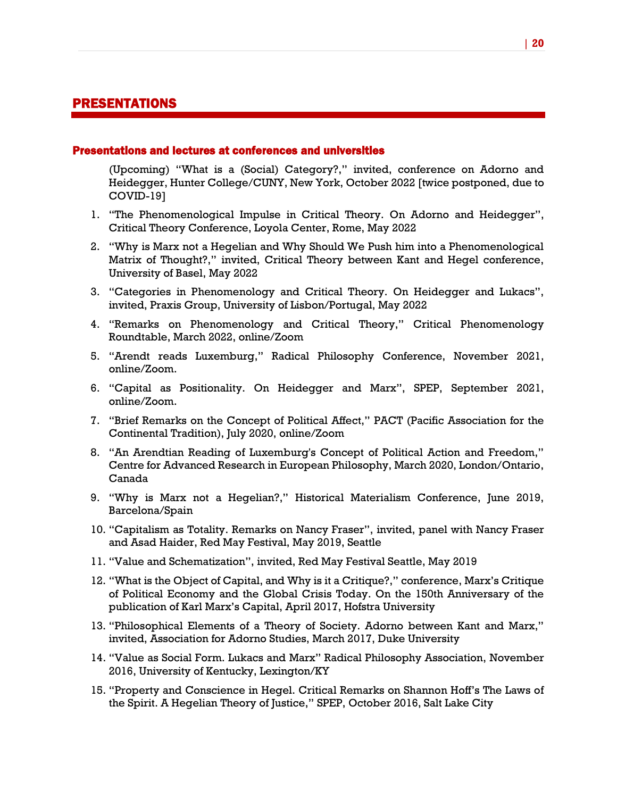# PRESENTATIONS

#### Presentations and lectures at conferences and universities

(Upcoming) "What is a (Social) Category?," invited, conference on Adorno and Heidegger, Hunter College/CUNY, New York, October 2022 [twice postponed, due to COVID-19]

- 1. "The Phenomenological Impulse in Critical Theory. On Adorno and Heidegger", Critical Theory Conference, Loyola Center, Rome, May 2022
- 2. "Why is Marx not a Hegelian and Why Should We Push him into a Phenomenological Matrix of Thought?," invited, Critical Theory between Kant and Hegel conference, University of Basel, May 2022
- 3. "Categories in Phenomenology and Critical Theory. On Heidegger and Lukacs", invited, Praxis Group, University of Lisbon/Portugal, May 2022
- 4. "Remarks on Phenomenology and Critical Theory," Critical Phenomenology Roundtable, March 2022, online/Zoom
- 5. "Arendt reads Luxemburg," Radical Philosophy Conference, November 2021, online/Zoom.
- 6. "Capital as Positionality. On Heidegger and Marx", SPEP, September 2021, online/Zoom.
- 7. "Brief Remarks on the Concept of Political Affect," PACT (Pacific Association for the Continental Tradition), July 2020, online/Zoom
- 8. "An Arendtian Reading of Luxemburg's Concept of Political Action and Freedom," Centre for Advanced Research in European Philosophy, March 2020, London/Ontario, Canada
- 9. "Why is Marx not a Hegelian?," Historical Materialism Conference, June 2019, Barcelona/Spain
- 10. "Capitalism as Totality. Remarks on Nancy Fraser", invited, panel with Nancy Fraser and Asad Haider, Red May Festival, May 2019, Seattle
- 11. "Value and Schematization", invited, Red May Festival Seattle, May 2019
- 12. "What is the Object of Capital, and Why is it a Critique?," conference, Marx's Critique of Political Economy and the Global Crisis Today. On the 150th Anniversary of the publication of Karl Marx's Capital, April 2017, Hofstra University
- 13. "Philosophical Elements of a Theory of Society. Adorno between Kant and Marx," invited, Association for Adorno Studies, March 2017, Duke University
- 14. "Value as Social Form. Lukacs and Marx" Radical Philosophy Association, November 2016, University of Kentucky, Lexington/KY
- 15. "Property and Conscience in Hegel. Critical Remarks on Shannon Hoff's The Laws of the Spirit. A Hegelian Theory of Justice," SPEP, October 2016, Salt Lake City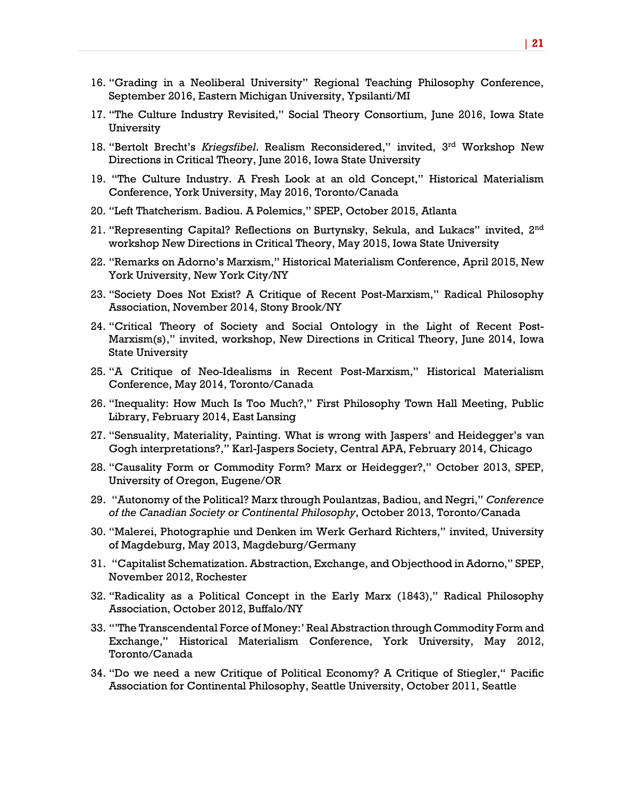- 16. "Grading in a Neoliberal University" Regional Teaching Philosophy Conference, September 2016, Eastern Michigan University, Ypsilanti/MI
- 17. "The Culture Industry Revisited," Social Theory Consortium, June 2016, Iowa State University
- 18. "Bertolt Brecht's *Kriegsfibel*. Realism Reconsidered," invited, 3rd Workshop New Directions in Critical Theory, June 2016, Iowa State University
- 19. "The Culture Industry. A Fresh Look at an old Concept," Historical Materialism Conference, York University, May 2016, Toronto/Canada
- 20. "Left Thatcherism. Badiou. A Polemics," SPEP, October 2015, Atlanta
- 21. "Representing Capital? Reflections on Burtynsky, Sekula, and Lukacs" invited,  $2<sup>nd</sup>$ workshop New Directions in Critical Theory, May 2015, Iowa State University
- 22. "Remarks on Adorno's Marxism," Historical Materialism Conference, April 2015, New York University, New York City/NY
- 23. "Society Does Not Exist? A Critique of Recent Post-Marxism," Radical Philosophy Association, November 2014, Stony Brook/NY
- 24. "Critical Theory of Society and Social Ontology in the Light of Recent Post-Marxism(s)," invited, workshop, New Directions in Critical Theory, June 2014, Iowa State University
- 25. "A Critique of Neo-Idealisms in Recent Post-Marxism," Historical Materialism Conference, May 2014, Toronto/Canada
- 26. "Inequality: How Much Is Too Much?," First Philosophy Town Hall Meeting, Public Library, February 2014, East Lansing
- 27. "Sensuality, Materiality, Painting. What is wrong with Jaspers' and Heidegger's van Gogh interpretations?," Karl-Jaspers Society, Central APA, February 2014, Chicago
- 28. "Causality Form or Commodity Form? Marx or Heidegger?," October 2013, SPEP, University of Oregon, Eugene/OR
- 29. "Autonomy of the Political? Marx through Poulantzas, Badiou, and Negri," *Conference of the Canadian Society or Continental Philosophy*, October 2013, Toronto/Canada
- 30. "Malerei, Photographie und Denken im Werk Gerhard Richters," invited, University of Magdeburg, May 2013, Magdeburg/Germany
- 31. "Capitalist Schematization. Abstraction, Exchange, and Objecthood in Adorno," SPEP, November 2012, Rochester
- 32. "Radicality as a Political Concept in the Early Marx (1843)," Radical Philosophy Association, October 2012, Buffalo/NY
- 33. "'The Transcendental Force of Money:' Real Abstraction through Commodity Form and Exchange," Historical Materialism Conference, York University, May 2012, Toronto/Canada
- 34. "Do we need a new Critique of Political Economy? A Critique of Stiegler," Pacific Association for Continental Philosophy, Seattle University, October 2011, Seattle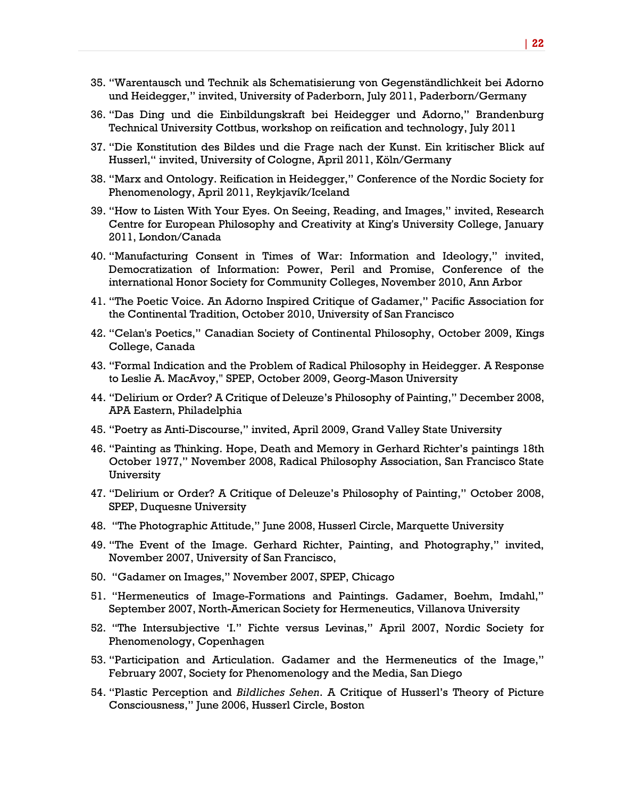- 35. "Warentausch und Technik als Schematisierung von Gegenständlichkeit bei Adorno und Heidegger," invited, University of Paderborn, July 2011, Paderborn/Germany
- 36. "Das Ding und die Einbildungskraft bei Heidegger und Adorno," Brandenburg Technical University Cottbus, workshop on reification and technology, July 2011
- 37. "Die Konstitution des Bildes und die Frage nach der Kunst. Ein kritischer Blick auf Husserl," invited, University of Cologne, April 2011, Köln/Germany
- 38. "Marx and Ontology. Reification in Heidegger," Conference of the Nordic Society for Phenomenology, April 2011, Reykjavík/Iceland
- 39. "How to Listen With Your Eyes. On Seeing, Reading, and Images," invited, Research Centre for European Philosophy and Creativity at King's University College, January 2011, London/Canada
- 40. "Manufacturing Consent in Times of War: Information and Ideology," invited, Democratization of Information: Power, Peril and Promise, Conference of the international Honor Society for Community Colleges, November 2010, Ann Arbor
- 41. "The Poetic Voice. An Adorno Inspired Critique of Gadamer," Pacific Association for the Continental Tradition, October 2010, University of San Francisco
- 42. "Celan's Poetics," Canadian Society of Continental Philosophy, October 2009, Kings College, Canada
- 43. "Formal Indication and the Problem of Radical Philosophy in Heidegger. A Response to Leslie A. MacAvoy," SPEP, October 2009, Georg-Mason University
- 44. "Delirium or Order? A Critique of Deleuze's Philosophy of Painting," December 2008, APA Eastern, Philadelphia
- 45. "Poetry as Anti-Discourse," invited, April 2009, Grand Valley State University
- 46. "Painting as Thinking. Hope, Death and Memory in Gerhard Richter's paintings 18th October 1977," November 2008, Radical Philosophy Association, San Francisco State University
- 47. "Delirium or Order? A Critique of Deleuze's Philosophy of Painting," October 2008, SPEP, Duquesne University
- 48. "The Photographic Attitude," June 2008, Husserl Circle, Marquette University
- 49. "The Event of the Image. Gerhard Richter, Painting, and Photography," invited, November 2007, University of San Francisco,
- 50. "Gadamer on Images," November 2007, SPEP, Chicago
- 51. "Hermeneutics of Image-Formations and Paintings. Gadamer, Boehm, Imdahl," September 2007, North-American Society for Hermeneutics, Villanova University
- 52. "The Intersubjective 'I." Fichte versus Levinas," April 2007, Nordic Society for Phenomenology, Copenhagen
- 53. "Participation and Articulation. Gadamer and the Hermeneutics of the Image," February 2007, Society for Phenomenology and the Media, San Diego
- 54. "Plastic Perception and *Bildliches Sehen*. A Critique of Husserl's Theory of Picture Consciousness," June 2006, Husserl Circle, Boston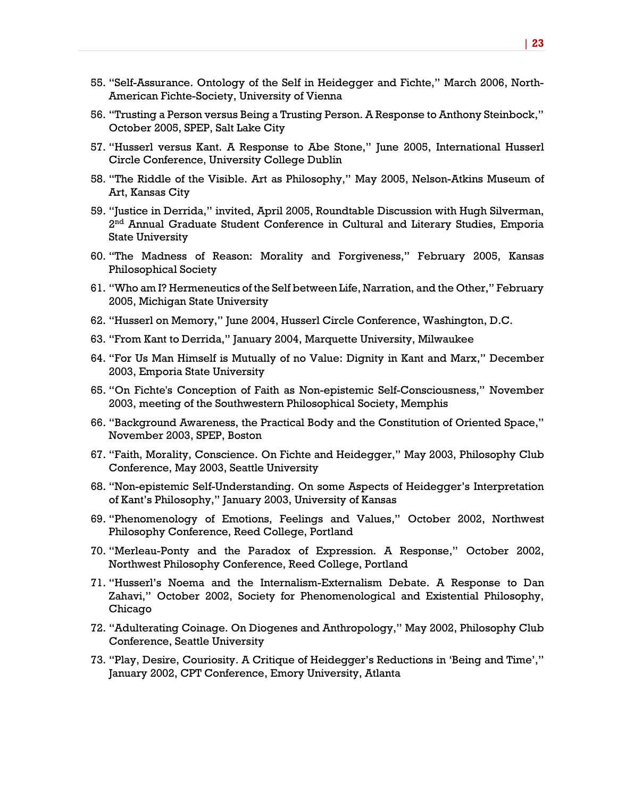- 55. "Self-Assurance. Ontology of the Self in Heidegger and Fichte," March 2006, North-American Fichte-Society, University of Vienna
- 56. "Trusting a Person versus Being a Trusting Person. A Response to Anthony Steinbock," October 2005, SPEP, Salt Lake City
- 57. "Husserl versus Kant. A Response to Abe Stone," June 2005, International Husserl Circle Conference, University College Dublin
- 58. "The Riddle of the Visible. Art as Philosophy," May 2005, Nelson-Atkins Museum of Art, Kansas City
- 59. "Justice in Derrida," invited, April 2005, Roundtable Discussion with Hugh Silverman, 2<sup>nd</sup> Annual Graduate Student Conference in Cultural and Literary Studies, Emporia State University
- 60. "The Madness of Reason: Morality and Forgiveness," February 2005, Kansas Philosophical Society
- 61. "Who am I? Hermeneutics of the Self between Life, Narration, and the Other," February 2005, Michigan State University
- 62. "Husserl on Memory," June 2004, Husserl Circle Conference, Washington, D.C.
- 63. "From Kant to Derrida," January 2004, Marquette University, Milwaukee
- 64. "For Us Man Himself is Mutually of no Value: Dignity in Kant and Marx," December 2003, Emporia State University
- 65. "On Fichte's Conception of Faith as Non-epistemic Self-Consciousness," November 2003, meeting of the Southwestern Philosophical Society, Memphis
- 66. "Background Awareness, the Practical Body and the Constitution of Oriented Space," November 2003, SPEP, Boston
- 67. "Faith, Morality, Conscience. On Fichte and Heidegger," May 2003, Philosophy Club Conference, May 2003, Seattle University
- 68. "Non-epistemic Self-Understanding. On some Aspects of Heidegger's Interpretation of Kant's Philosophy," January 2003, University of Kansas
- 69. "Phenomenology of Emotions, Feelings and Values," October 2002, Northwest Philosophy Conference, Reed College, Portland
- 70. "Merleau-Ponty and the Paradox of Expression. A Response," October 2002, Northwest Philosophy Conference, Reed College, Portland
- 71. "Husserl's Noema and the Internalism-Externalism Debate. A Response to Dan Zahavi," October 2002, Society for Phenomenological and Existential Philosophy, Chicago
- 72. "Adulterating Coinage. On Diogenes and Anthropology," May 2002, Philosophy Club Conference, Seattle University
- 73. "Play, Desire, Couriosity. A Critique of Heidegger's Reductions in 'Being and Time'," January 2002, CPT Conference, Emory University, Atlanta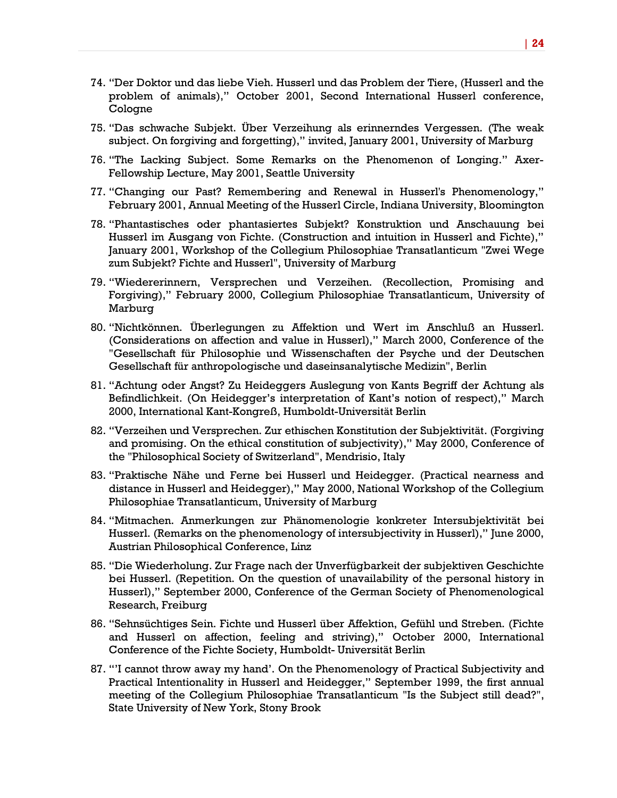- 74. "Der Doktor und das liebe Vieh. Husserl und das Problem der Tiere, (Husserl and the problem of animals)," October 2001, Second International Husserl conference, Cologne
- 75. "Das schwache Subjekt. Über Verzeihung als erinnerndes Vergessen. (The weak subject. On forgiving and forgetting)," invited, January 2001, University of Marburg
- 76. "The Lacking Subject. Some Remarks on the Phenomenon of Longing." Axer-Fellowship Lecture, May 2001, Seattle University
- 77. "Changing our Past? Remembering and Renewal in Husserl's Phenomenology," February 2001, Annual Meeting of the Husserl Circle, Indiana University, Bloomington
- 78. "Phantastisches oder phantasiertes Subjekt? Konstruktion und Anschauung bei Husserl im Ausgang von Fichte. (Construction and intuition in Husserl and Fichte)," January 2001, Workshop of the Collegium Philosophiae Transatlanticum "Zwei Wege zum Subjekt? Fichte and Husserl", University of Marburg
- 79. "Wiedererinnern, Versprechen und Verzeihen. (Recollection, Promising and Forgiving)," February 2000, Collegium Philosophiae Transatlanticum, University of Marburg
- 80. "Nichtkönnen. Überlegungen zu Affektion und Wert im Anschluß an Husserl. (Considerations on affection and value in Husserl)," March 2000, Conference of the "Gesellschaft für Philosophie und Wissenschaften der Psyche und der Deutschen Gesellschaft für anthropologische und daseinsanalytische Medizin", Berlin
- 81. "Achtung oder Angst? Zu Heideggers Auslegung von Kants Begriff der Achtung als Befindlichkeit. (On Heidegger's interpretation of Kant's notion of respect)," March 2000, International Kant-Kongreß, Humboldt-Universität Berlin
- 82. "Verzeihen und Versprechen. Zur ethischen Konstitution der Subjektivität. (Forgiving and promising. On the ethical constitution of subjectivity)," May 2000, Conference of the "Philosophical Society of Switzerland", Mendrisio, Italy
- 83. "Praktische Nähe und Ferne bei Husserl und Heidegger. (Practical nearness and distance in Husserl and Heidegger)," May 2000, National Workshop of the Collegium Philosophiae Transatlanticum, University of Marburg
- 84. "Mitmachen. Anmerkungen zur Phänomenologie konkreter Intersubjektivität bei Husserl. (Remarks on the phenomenology of intersubjectivity in Husserl)," June 2000, Austrian Philosophical Conference, Linz
- 85. "Die Wiederholung. Zur Frage nach der Unverfügbarkeit der subjektiven Geschichte bei Husserl. (Repetition. On the question of unavailability of the personal history in Husserl)," September 2000, Conference of the German Society of Phenomenological Research, Freiburg
- 86. "Sehnsüchtiges Sein. Fichte und Husserl über Affektion, Gefühl und Streben. (Fichte and Husserl on affection, feeling and striving)," October 2000, International Conference of the Fichte Society, Humboldt- Universität Berlin
- 87. "'I cannot throw away my hand'. On the Phenomenology of Practical Subjectivity and Practical Intentionality in Husserl and Heidegger," September 1999, the first annual meeting of the Collegium Philosophiae Transatlanticum "Is the Subject still dead?", State University of New York, Stony Brook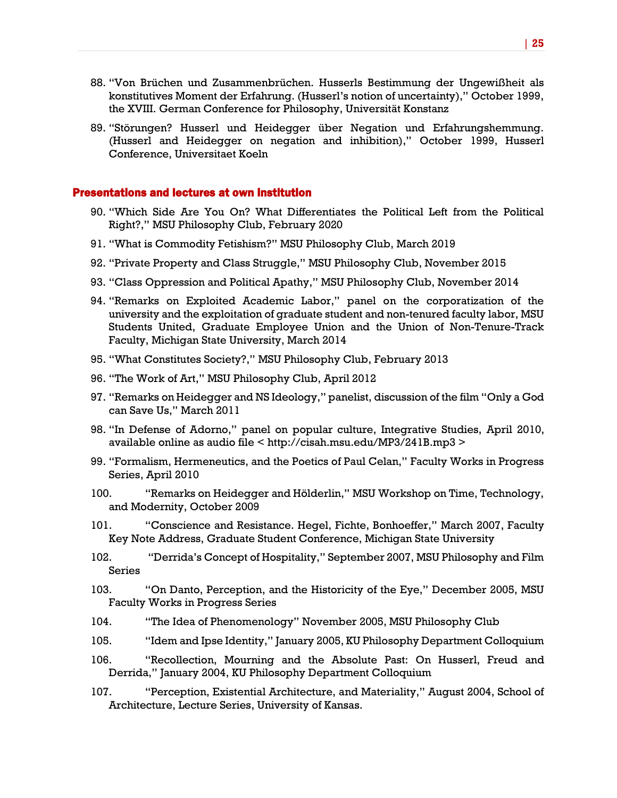- 88. "Von Brüchen und Zusammenbrüchen. Husserls Bestimmung der Ungewißheit als konstitutives Moment der Erfahrung. (Husserl's notion of uncertainty)," October 1999, the XVIII. German Conference for Philosophy, Universität Konstanz
- 89. "Störungen? Husserl und Heidegger über Negation und Erfahrungshemmung. (Husserl and Heidegger on negation and inhibition)," October 1999, Husserl Conference, Universitaet Koeln

#### Presentations and lectures at own institution

- 90. "Which Side Are You On? What Differentiates the Political Left from the Political Right?," MSU Philosophy Club, February 2020
- 91. "What is Commodity Fetishism?" MSU Philosophy Club, March 2019
- 92. "Private Property and Class Struggle," MSU Philosophy Club, November 2015
- 93. "Class Oppression and Political Apathy," MSU Philosophy Club, November 2014
- 94. "Remarks on Exploited Academic Labor," panel on the corporatization of the university and the exploitation of graduate student and non-tenured faculty labor, MSU Students United, Graduate Employee Union and the Union of Non-Tenure-Track Faculty, Michigan State University, March 2014
- 95. "What Constitutes Society?," MSU Philosophy Club, February 2013
- 96. "The Work of Art," MSU Philosophy Club, April 2012
- 97. "Remarks on Heidegger and NS Ideology," panelist, discussion of the film "Only a God can Save Us," March 2011
- 98. "In Defense of Adorno," panel on popular culture, Integrative Studies, April 2010, available online as audio file < http://cisah.msu.edu/MP3/241B.mp3 >
- 99. "Formalism, Hermeneutics, and the Poetics of Paul Celan," Faculty Works in Progress Series, April 2010
- 100. "Remarks on Heidegger and Hölderlin," MSU Workshop on Time, Technology, and Modernity, October 2009
- 101. "Conscience and Resistance. Hegel, Fichte, Bonhoeffer," March 2007, Faculty Key Note Address, Graduate Student Conference, Michigan State University
- 102. "Derrida's Concept of Hospitality," September 2007, MSU Philosophy and Film Series
- 103. "On Danto, Perception, and the Historicity of the Eye," December 2005, MSU Faculty Works in Progress Series
- 104. "The Idea of Phenomenology" November 2005, MSU Philosophy Club
- 105. "Idem and Ipse Identity," January 2005, KU Philosophy Department Colloquium
- 106. "Recollection, Mourning and the Absolute Past: On Husserl, Freud and Derrida," January 2004, KU Philosophy Department Colloquium
- 107. "Perception, Existential Architecture, and Materiality," August 2004, School of Architecture, Lecture Series, University of Kansas.